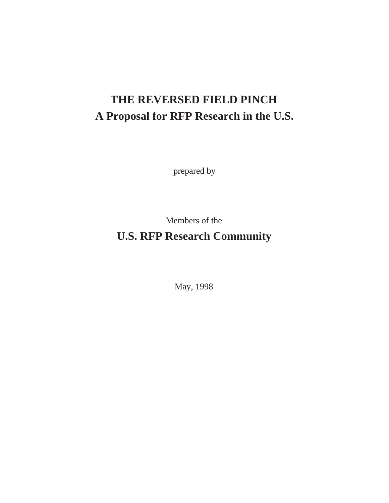# **THE REVERSED FIELD PINCH A Proposal for RFP Research in the U.S.**

prepared by

Members of the

# **U.S. RFP Research Community**

May, 1998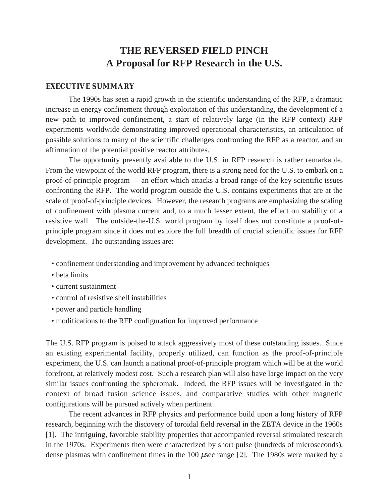# **THE REVERSED FIELD PINCH A Proposal for RFP Research in the U.S.**

#### **EXECUTIVE SUMMARY**

The 1990s has seen a rapid growth in the scientific understanding of the RFP, a dramatic increase in energy confinement through exploitation of this understanding, the development of a new path to improved confinement, a start of relatively large (in the RFP context) RFP experiments worldwide demonstrating improved operational characteristics, an articulation of possible solutions to many of the scientific challenges confronting the RFP as a reactor, and an affirmation of the potential positive reactor attributes.

The opportunity presently available to the U.S. in RFP research is rather remarkable. From the viewpoint of the world RFP program, there is a strong need for the U.S. to embark on a proof-of-principle program — an effort which attacks a broad range of the key scientific issues confronting the RFP. The world program outside the U.S. contains experiments that are at the scale of proof-of-principle devices. However, the research programs are emphasizing the scaling of confinement with plasma current and, to a much lesser extent, the effect on stability of a resistive wall. The outside-the-U.S. world program by itself does not constitute a proof-ofprinciple program since it does not explore the full breadth of crucial scientific issues for RFP development. The outstanding issues are:

- confinement understanding and improvement by advanced techniques
- beta limits
- current sustainment
- control of resistive shell instabilities
- power and particle handling
- modifications to the RFP configuration for improved performance

The U.S. RFP program is poised to attack aggressively most of these outstanding issues. Since an existing experimental facility, properly utilized, can function as the proof-of-principle experiment, the U.S. can launch a national proof-of-principle program which will be at the world forefront, at relatively modest cost. Such a research plan will also have large impact on the very similar issues confronting the spheromak. Indeed, the RFP issues will be investigated in the context of broad fusion science issues, and comparative studies with other magnetic configurations will be pursued actively when pertinent.

The recent advances in RFP physics and performance build upon a long history of RFP research, beginning with the discovery of toroidal field reversal in the ZETA device in the 1960s [1]. The intriguing, favorable stability properties that accompanied reversal stimulated research in the 1970s. Experiments then were characterized by short pulse (hundreds of microseconds), dense plasmas with confinement times in the 100 µsec range [2]. The 1980s were marked by a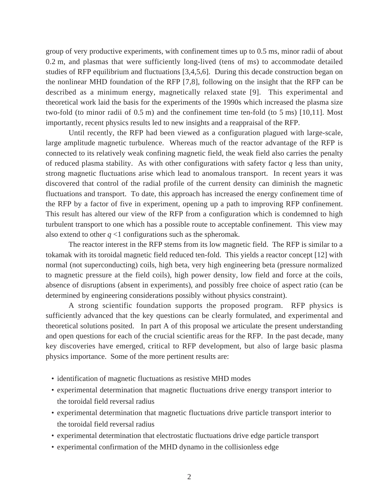group of very productive experiments, with confinement times up to 0.5 ms, minor radii of about 0.2 m, and plasmas that were sufficiently long-lived (tens of ms) to accommodate detailed studies of RFP equilibrium and fluctuations [3,4,5,6]. During this decade construction began on the nonlinear MHD foundation of the RFP [7,8], following on the insight that the RFP can be described as a minimum energy, magnetically relaxed state [9]. This experimental and theoretical work laid the basis for the experiments of the 1990s which increased the plasma size two-fold (to minor radii of 0.5 m) and the confinement time ten-fold (to 5 ms) [10,11]. Most importantly, recent physics results led to new insights and a reappraisal of the RFP.

Until recently, the RFP had been viewed as a configuration plagued with large-scale, large amplitude magnetic turbulence. Whereas much of the reactor advantage of the RFP is connected to its relatively weak confining magnetic field, the weak field also carries the penalty of reduced plasma stability. As with other configurations with safety factor *q* less than unity, strong magnetic fluctuations arise which lead to anomalous transport. In recent years it was discovered that control of the radial profile of the current density can diminish the magnetic fluctuations and transport. To date, this approach has increased the energy confinement time of the RFP by a factor of five in experiment, opening up a path to improving RFP confinement. This result has altered our view of the RFP from a configuration which is condemned to high turbulent transport to one which has a possible route to acceptable confinement. This view may also extend to other *q* <1 configurations such as the spheromak.

The reactor interest in the RFP stems from its low magnetic field. The RFP is similar to a tokamak with its toroidal magnetic field reduced ten-fold. This yields a reactor concept [12] with normal (not superconducting) coils, high beta, very high engineering beta (pressure normalized to magnetic pressure at the field coils), high power density, low field and force at the coils, absence of disruptions (absent in experiments), and possibly free choice of aspect ratio (can be determined by engineering considerations possibly without physics constraint).

A strong scientific foundation supports the proposed program. RFP physics is sufficiently advanced that the key questions can be clearly formulated, and experimental and theoretical solutions posited. In part A of this proposal we articulate the present understanding and open questions for each of the crucial scientific areas for the RFP. In the past decade, many key discoveries have emerged, critical to RFP development, but also of large basic plasma physics importance. Some of the more pertinent results are:

- identification of magnetic fluctuations as resistive MHD modes
- experimental determination that magnetic fluctuations drive energy transport interior to the toroidal field reversal radius
- experimental determination that magnetic fluctuations drive particle transport interior to the toroidal field reversal radius
- experimental determination that electrostatic fluctuations drive edge particle transport
- experimental confirmation of the MHD dynamo in the collisionless edge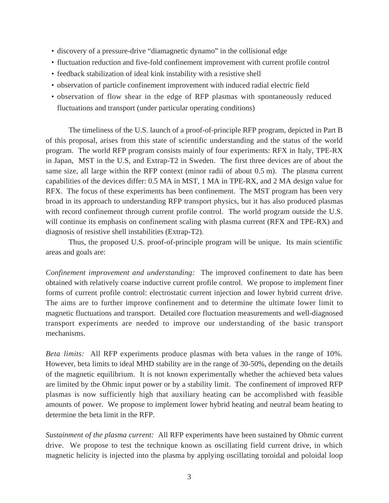- discovery of a pressure-drive "diamagnetic dynamo" in the collisional edge
- fluctuation reduction and five-fold confinement improvement with current profile control
- feedback stabilization of ideal kink instability with a resistive shell
- observation of particle confinement improvement with induced radial electric field
- observation of flow shear in the edge of RFP plasmas with spontaneously reduced fluctuations and transport (under particular operating conditions)

The timeliness of the U.S. launch of a proof-of-principle RFP program, depicted in Part B of this proposal, arises from this state of scientific understanding and the status of the world program. The world RFP program consists mainly of four experiments: RFX in Italy, TPE-RX in Japan, MST in the U.S, and Extrap-T2 in Sweden. The first three devices are of about the same size, all large within the RFP context (minor radii of about 0.5 m). The plasma current capabilities of the devices differ: 0.5 MA in MST, 1 MA in TPE-RX, and 2 MA design value for RFX. The focus of these experiments has been confinement. The MST program has been very broad in its approach to understanding RFP transport physics, but it has also produced plasmas with record confinement through current profile control. The world program outside the U.S. will continue its emphasis on confinement scaling with plasma current (RFX and TPE-RX) and diagnosis of resistive shell instabilities (Extrap-T2).

Thus, the proposed U.S. proof-of-principle program will be unique. Its main scientific areas and goals are:

*Confinement improvement and understanding:* The improved confinement to date has been obtained with relatively coarse inductive current profile control. We propose to implement finer forms of current profile control: electrostatic current injection and lower hybrid current drive. The aims are to further improve confinement and to determine the ultimate lower limit to magnetic fluctuations and transport. Detailed core fluctuation measurements and well-diagnosed transport experiments are needed to improve our understanding of the basic transport mechanisms.

*Beta limits:* All RFP experiments produce plasmas with beta values in the range of 10%. However, beta limits to ideal MHD stability are in the range of 30-50%, depending on the details of the magnetic equilibrium. It is not known experimentally whether the achieved beta values are limited by the Ohmic input power or by a stability limit. The confinement of improved RFP plasmas is now sufficiently high that auxiliary heating can be accomplished with feasible amounts of power. We propose to implement lower hybrid heating and neutral beam heating to determine the beta limit in the RFP.

*Sustainment of the plasma current:* All RFP experiments have been sustained by Ohmic current drive. We propose to test the technique known as oscillating field current drive, in which magnetic helicity is injected into the plasma by applying oscillating toroidal and poloidal loop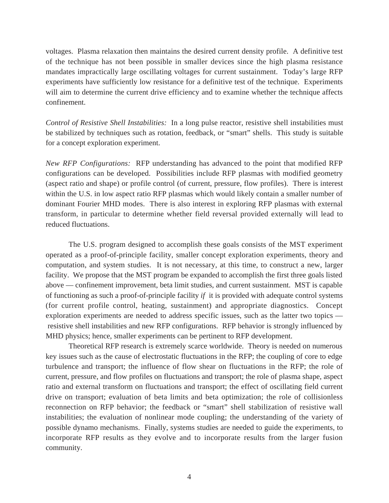voltages. Plasma relaxation then maintains the desired current density profile. A definitive test of the technique has not been possible in smaller devices since the high plasma resistance mandates impractically large oscillating voltages for current sustainment. Today's large RFP experiments have sufficiently low resistance for a definitive test of the technique. Experiments will aim to determine the current drive efficiency and to examine whether the technique affects confinement.

*Control of Resistive Shell Instabilities:* In a long pulse reactor, resistive shell instabilities must be stabilized by techniques such as rotation, feedback, or "smart" shells. This study is suitable for a concept exploration experiment.

*New RFP Configurations:* RFP understanding has advanced to the point that modified RFP configurations can be developed. Possibilities include RFP plasmas with modified geometry (aspect ratio and shape) or profile control (of current, pressure, flow profiles). There is interest within the U.S. in low aspect ratio RFP plasmas which would likely contain a smaller number of dominant Fourier MHD modes. There is also interest in exploring RFP plasmas with external transform, in particular to determine whether field reversal provided externally will lead to reduced fluctuations.

The U.S. program designed to accomplish these goals consists of the MST experiment operated as a proof-of-principle facility, smaller concept exploration experiments, theory and computation, and system studies. It is not necessary, at this time, to construct a new, larger facility. We propose that the MST program be expanded to accomplish the first three goals listed above — confinement improvement, beta limit studies, and current sustainment. MST is capable of functioning as such a proof-of-principle facility *if* it is provided with adequate control systems (for current profile control, heating, sustainment) and appropriate diagnostics. Concept exploration experiments are needed to address specific issues, such as the latter two topics resistive shell instabilities and new RFP configurations. RFP behavior is strongly influenced by MHD physics; hence, smaller experiments can be pertinent to RFP development.

Theoretical RFP research is extremely scarce worldwide. Theory is needed on numerous key issues such as the cause of electrostatic fluctuations in the RFP; the coupling of core to edge turbulence and transport; the influence of flow shear on fluctuations in the RFP; the role of current, pressure, and flow profiles on fluctuations and transport; the role of plasma shape, aspect ratio and external transform on fluctuations and transport; the effect of oscillating field current drive on transport; evaluation of beta limits and beta optimization; the role of collisionless reconnection on RFP behavior; the feedback or "smart" shell stabilization of resistive wall instabilities; the evaluation of nonlinear mode coupling; the understanding of the variety of possible dynamo mechanisms. Finally, systems studies are needed to guide the experiments, to incorporate RFP results as they evolve and to incorporate results from the larger fusion community.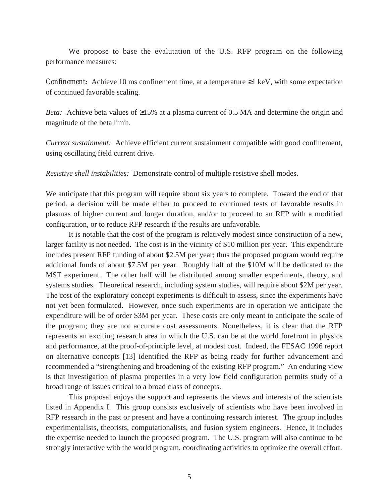We propose to base the evalutation of the U.S. RFP program on the following performance measures:

*Confinement:* Achieve 10 ms confinement time, at a temperature  $\geq$ 1 keV, with some expectation of continued favorable scaling.

*Beta:* Achieve beta values of ≥15% at a plasma current of 0.5 MA and determine the origin and magnitude of the beta limit.

*Current sustainment:* Achieve efficient current sustainment compatible with good confinement, using oscillating field current drive.

*Resistive shell instabilities:* Demonstrate control of multiple resistive shell modes.

We anticipate that this program will require about six years to complete. Toward the end of that period, a decision will be made either to proceed to continued tests of favorable results in plasmas of higher current and longer duration, and/or to proceed to an RFP with a modified configuration, or to reduce RFP research if the results are unfavorable.

It is notable that the cost of the program is relatively modest since construction of a new, larger facility is not needed. The cost is in the vicinity of \$10 million per year. This expenditure includes present RFP funding of about \$2.5M per year; thus the proposed program would require additional funds of about \$7.5M per year. Roughly half of the \$10M will be dedicated to the MST experiment. The other half will be distributed among smaller experiments, theory, and systems studies. Theoretical research, including system studies, will require about \$2M per year. The cost of the exploratory concept experiments is difficult to assess, since the experiments have not yet been formulated. However, once such experiments are in operation we anticipate the expenditure will be of order \$3M per year. These costs are only meant to anticipate the scale of the program; they are not accurate cost assessments. Nonetheless, it is clear that the RFP represents an exciting research area in which the U.S. can be at the world forefront in physics and performance, at the proof-of-principle level, at modest cost. Indeed, the FESAC 1996 report on alternative concepts [13] identified the RFP as being ready for further advancement and recommended a "strengthening and broadening of the existing RFP program." An enduring view is that investigation of plasma properties in a very low field configuration permits study of a broad range of issues critical to a broad class of concepts.

This proposal enjoys the support and represents the views and interests of the scientists listed in Appendix I. This group consists exclusively of scientists who have been involved in RFP research in the past or present and have a continuing research interest. The group includes experimentalists, theorists, computationalists, and fusion system engineers. Hence, it includes the expertise needed to launch the proposed program. The U.S. program will also continue to be strongly interactive with the world program, coordinating activities to optimize the overall effort.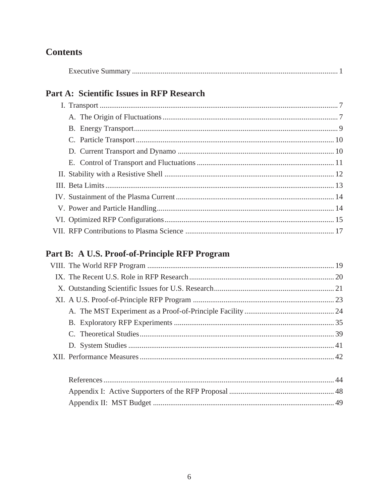# **Contents**

## Part A: Scientific Issues in RFP Research

## Part B: A U.S. Proof-of-Principle RFP Program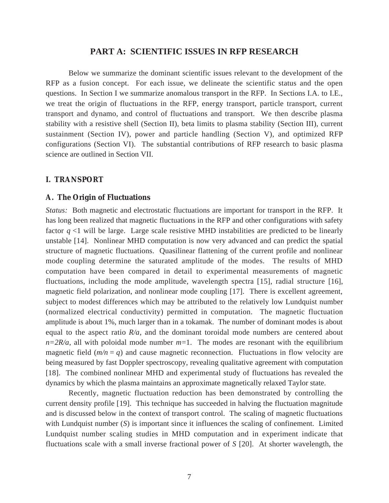#### **PART A: SCIENTIFIC ISSUES IN RFP RESEARCH**

Below we summarize the dominant scientific issues relevant to the development of the RFP as a fusion concept. For each issue, we delineate the scientific status and the open questions. In Section I we summarize anomalous transport in the RFP. In Sections I.A. to I.E., we treat the origin of fluctuations in the RFP, energy transport, particle transport, current transport and dynamo, and control of fluctuations and transport. We then describe plasma stability with a resistive shell (Section II), beta limits to plasma stability (Section III), current sustainment (Section IV), power and particle handling (Section V), and optimized RFP configurations (Section VI). The substantial contributions of RFP research to basic plasma science are outlined in Section VII.

#### **I. TRANSPORT**

#### **A. The Origin of Fluctuations**

*Status:* Both magnetic and electrostatic fluctuations are important for transport in the RFP. It has long been realized that magnetic fluctuations in the RFP and other configurations with safety factor  $q$  <1 will be large. Large scale resistive MHD instabilities are predicted to be linearly unstable [14]. Nonlinear MHD computation is now very advanced and can predict the spatial structure of magnetic fluctuations. Quasilinear flattening of the current profile and nonlinear mode coupling determine the saturated amplitude of the modes. The results of MHD computation have been compared in detail to experimental measurements of magnetic fluctuations, including the mode amplitude, wavelength spectra [15], radial structure [16], magnetic field polarization, and nonlinear mode coupling [17]. There is excellent agreement, subject to modest differences which may be attributed to the relatively low Lundquist number (normalized electrical conductivity) permitted in computation. The magnetic fluctuation amplitude is about 1%, much larger than in a tokamak. The number of dominant modes is about equal to the aspect ratio *R/a*, and the dominant toroidal mode numbers are centered about  $n=2R/a$ , all with poloidal mode number  $m=1$ . The modes are resonant with the equilibrium magnetic field  $(m/n = q)$  and cause magnetic reconnection. Fluctuations in flow velocity are being measured by fast Doppler spectroscopy, revealing qualitative agreement with computation [18]. The combined nonlinear MHD and experimental study of fluctuations has revealed the dynamics by which the plasma maintains an approximate magnetically relaxed Taylor state.

Recently, magnetic fluctuation reduction has been demonstrated by controlling the current density profile [19]. This technique has succeeded in halving the fluctuation magnitude and is discussed below in the context of transport control. The scaling of magnetic fluctuations with Lundquist number (*S*) is important since it influences the scaling of confinement. Limited Lundquist number scaling studies in MHD computation and in experiment indicate that fluctuations scale with a small inverse fractional power of *S* [20]. At shorter wavelength, the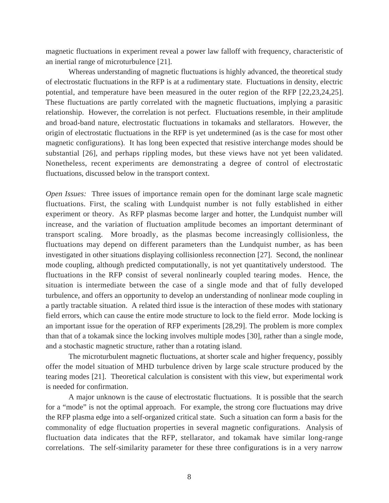magnetic fluctuations in experiment reveal a power law falloff with frequency, characteristic of an inertial range of microturbulence [21].

Whereas understanding of magnetic fluctuations is highly advanced, the theoretical study of electrostatic fluctuations in the RFP is at a rudimentary state. Fluctuations in density, electric potential, and temperature have been measured in the outer region of the RFP [22,23,24,25]. These fluctuations are partly correlated with the magnetic fluctuations, implying a parasitic relationship. However, the correlation is not perfect. Fluctuations resemble, in their amplitude and broad-band nature, electrostatic fluctuations in tokamaks and stellarators. However, the origin of electrostatic fluctuations in the RFP is yet undetermined (as is the case for most other magnetic configurations). It has long been expected that resistive interchange modes should be substantial [26], and perhaps rippling modes, but these views have not yet been validated. Nonetheless, recent experiments are demonstrating a degree of control of electrostatic fluctuations, discussed below in the transport context.

*Open Issues:* Three issues of importance remain open for the dominant large scale magnetic fluctuations. First, the scaling with Lundquist number is not fully established in either experiment or theory. As RFP plasmas become larger and hotter, the Lundquist number will increase, and the variation of fluctuation amplitude becomes an important determinant of transport scaling. More broadly, as the plasmas become increasingly collisionless, the fluctuations may depend on different parameters than the Lundquist number, as has been investigated in other situations displaying collisionless reconnection [27]. Second, the nonlinear mode coupling, although predicted computationally, is not yet quantitatively understood. The fluctuations in the RFP consist of several nonlinearly coupled tearing modes. Hence, the situation is intermediate between the case of a single mode and that of fully developed turbulence, and offers an opportunity to develop an understanding of nonlinear mode coupling in a partly tractable situation. A related third issue is the interaction of these modes with stationary field errors, which can cause the entire mode structure to lock to the field error. Mode locking is an important issue for the operation of RFP experiments [28,29]. The problem is more complex than that of a tokamak since the locking involves multiple modes [30], rather than a single mode, and a stochastic magnetic structure, rather than a rotating island.

The microturbulent magnetic fluctuations, at shorter scale and higher frequency, possibly offer the model situation of MHD turbulence driven by large scale structure produced by the tearing modes [21]. Theoretical calculation is consistent with this view, but experimental work is needed for confirmation.

A major unknown is the cause of electrostatic fluctuations. It is possible that the search for a "mode" is not the optimal approach. For example, the strong core fluctuations may drive the RFP plasma edge into a self-organized critical state. Such a situation can form a basis for the commonality of edge fluctuation properties in several magnetic configurations. Analysis of fluctuation data indicates that the RFP, stellarator, and tokamak have similar long-range correlations. The self-similarity parameter for these three configurations is in a very narrow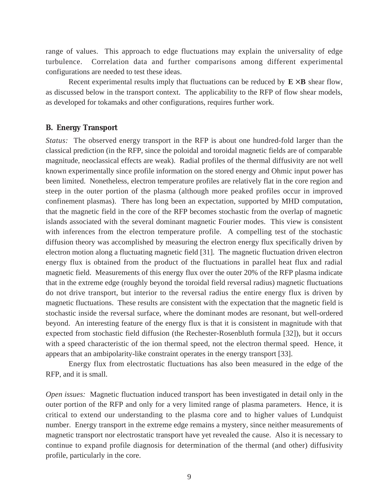range of values. This approach to edge fluctuations may explain the universality of edge turbulence. Correlation data and further comparisons among different experimental configurations are needed to test these ideas.

Recent experimental results imply that fluctuations can be reduced by  $E \times B$  shear flow, as discussed below in the transport context. The applicability to the RFP of flow shear models, as developed for tokamaks and other configurations, requires further work.

#### **B. Energy Transport**

*Status:* The observed energy transport in the RFP is about one hundred-fold larger than the classical prediction (in the RFP, since the poloidal and toroidal magnetic fields are of comparable magnitude, neoclassical effects are weak). Radial profiles of the thermal diffusivity are not well known experimentally since profile information on the stored energy and Ohmic input power has been limited. Nonetheless, electron temperature profiles are relatively flat in the core region and steep in the outer portion of the plasma (although more peaked profiles occur in improved confinement plasmas). There has long been an expectation, supported by MHD computation, that the magnetic field in the core of the RFP becomes stochastic from the overlap of magnetic islands associated with the several dominant magnetic Fourier modes. This view is consistent with inferences from the electron temperature profile. A compelling test of the stochastic diffusion theory was accomplished by measuring the electron energy flux specifically driven by electron motion along a fluctuating magnetic field [31]. The magnetic fluctuation driven electron energy flux is obtained from the product of the fluctuations in parallel heat flux and radial magnetic field. Measurements of this energy flux over the outer 20% of the RFP plasma indicate that in the extreme edge (roughly beyond the toroidal field reversal radius) magnetic fluctuations do not drive transport, but interior to the reversal radius the entire energy flux is driven by magnetic fluctuations. These results are consistent with the expectation that the magnetic field is stochastic inside the reversal surface, where the dominant modes are resonant, but well-ordered beyond. An interesting feature of the energy flux is that it is consistent in magnitude with that expected from stochastic field diffusion (the Rechester-Rosenbluth formula [32]), but it occurs with a speed characteristic of the ion thermal speed, not the electron thermal speed. Hence, it appears that an ambipolarity-like constraint operates in the energy transport [33].

Energy flux from electrostatic fluctuations has also been measured in the edge of the RFP, and it is small.

*Open issues:* Magnetic fluctuation induced transport has been investigated in detail only in the outer portion of the RFP and only for a very limited range of plasma parameters. Hence, it is critical to extend our understanding to the plasma core and to higher values of Lundquist number. Energy transport in the extreme edge remains a mystery, since neither measurements of magnetic transport nor electrostatic transport have yet revealed the cause. Also it is necessary to continue to expand profile diagnosis for determination of the thermal (and other) diffusivity profile, particularly in the core.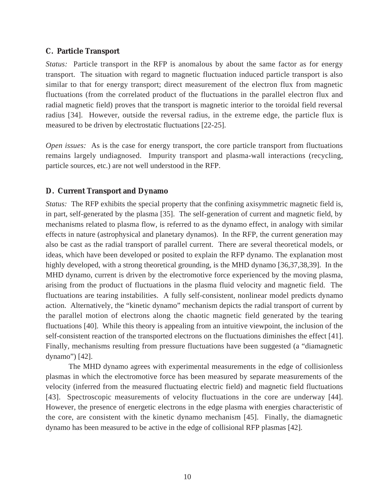#### **C. Particle Transport**

*Status:* Particle transport in the RFP is anomalous by about the same factor as for energy transport. The situation with regard to magnetic fluctuation induced particle transport is also similar to that for energy transport; direct measurement of the electron flux from magnetic fluctuations (from the correlated product of the fluctuations in the parallel electron flux and radial magnetic field) proves that the transport is magnetic interior to the toroidal field reversal radius [34]. However, outside the reversal radius, in the extreme edge, the particle flux is measured to be driven by electrostatic fluctuations [22-25].

*Open issues:* As is the case for energy transport, the core particle transport from fluctuations remains largely undiagnosed. Impurity transport and plasma-wall interactions (recycling, particle sources, etc.) are not well understood in the RFP.

#### **D. Current Transport and Dynamo**

*Status:* The RFP exhibits the special property that the confining axisymmetric magnetic field is, in part, self-generated by the plasma [35]. The self-generation of current and magnetic field, by mechanisms related to plasma flow, is referred to as the dynamo effect, in analogy with similar effects in nature (astrophysical and planetary dynamos). In the RFP, the current generation may also be cast as the radial transport of parallel current. There are several theoretical models, or ideas, which have been developed or posited to explain the RFP dynamo. The explanation most highly developed, with a strong theoretical grounding, is the MHD dynamo [36,37,38,39]. In the MHD dynamo, current is driven by the electromotive force experienced by the moving plasma, arising from the product of fluctuations in the plasma fluid velocity and magnetic field. The fluctuations are tearing instabilities. A fully self-consistent, nonlinear model predicts dynamo action. Alternatively, the "kinetic dynamo" mechanism depicts the radial transport of current by the parallel motion of electrons along the chaotic magnetic field generated by the tearing fluctuations [40]. While this theory is appealing from an intuitive viewpoint, the inclusion of the self-consistent reaction of the transported electrons on the fluctuations diminishes the effect [41]. Finally, mechanisms resulting from pressure fluctuations have been suggested (a "diamagnetic dynamo") [42].

The MHD dynamo agrees with experimental measurements in the edge of collisionless plasmas in which the electromotive force has been measured by separate measurements of the velocity (inferred from the measured fluctuating electric field) and magnetic field fluctuations [43]. Spectroscopic measurements of velocity fluctuations in the core are underway [44]. However, the presence of energetic electrons in the edge plasma with energies characteristic of the core, are consistent with the kinetic dynamo mechanism [45]. Finally, the diamagnetic dynamo has been measured to be active in the edge of collisional RFP plasmas [42].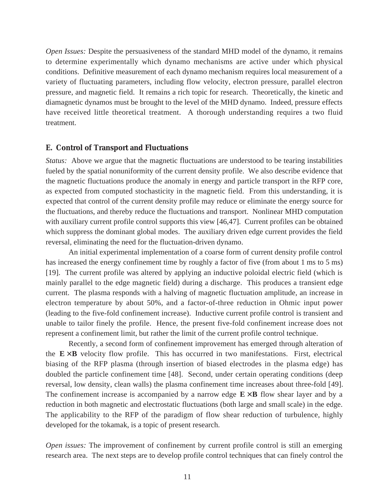*Open Issues:* Despite the persuasiveness of the standard MHD model of the dynamo, it remains to determine experimentally which dynamo mechanisms are active under which physical conditions. Definitive measurement of each dynamo mechanism requires local measurement of a variety of fluctuating parameters, including flow velocity, electron pressure, parallel electron pressure, and magnetic field. It remains a rich topic for research. Theoretically, the kinetic and diamagnetic dynamos must be brought to the level of the MHD dynamo. Indeed, pressure effects have received little theoretical treatment. A thorough understanding requires a two fluid treatment.

#### **E. Control of Transport and Fluctuations**

*Status:* Above we argue that the magnetic fluctuations are understood to be tearing instabilities fueled by the spatial nonuniformity of the current density profile. We also describe evidence that the magnetic fluctuations produce the anomaly in energy and particle transport in the RFP core, as expected from computed stochasticity in the magnetic field. From this understanding, it is expected that control of the current density profile may reduce or eliminate the energy source for the fluctuations, and thereby reduce the fluctuations and transport. Nonlinear MHD computation with auxiliary current profile control supports this view [46,47]. Current profiles can be obtained which suppress the dominant global modes. The auxiliary driven edge current provides the field reversal, eliminating the need for the fluctuation-driven dynamo.

An initial experimental implementation of a coarse form of current density profile control has increased the energy confinement time by roughly a factor of five (from about 1 ms to 5 ms) [19]. The current profile was altered by applying an inductive poloidal electric field (which is mainly parallel to the edge magnetic field) during a discharge. This produces a transient edge current. The plasma responds with a halving of magnetic fluctuation amplitude, an increase in electron temperature by about 50%, and a factor-of-three reduction in Ohmic input power (leading to the five-fold confinement increase). Inductive current profile control is transient and unable to tailor finely the profile. Hence, the present five-fold confinement increase does not represent a confinement limit, but rather the limit of the current profile control technique.

Recently, a second form of confinement improvement has emerged through alteration of the  $E \times B$  velocity flow profile. This has occurred in two manifestations. First, electrical biasing of the RFP plasma (through insertion of biased electrodes in the plasma edge) has doubled the particle confinement time [48]. Second, under certain operating conditions (deep reversal, low density, clean walls) the plasma confinement time increases about three-fold [49]. The confinement increase is accompanied by a narrow edge  $E \times B$  flow shear layer and by a reduction in both magnetic and electrostatic fluctuations (both large and small scale) in the edge. The applicability to the RFP of the paradigm of flow shear reduction of turbulence, highly developed for the tokamak, is a topic of present research.

*Open issues:* The improvement of confinement by current profile control is still an emerging research area. The next steps are to develop profile control techniques that can finely control the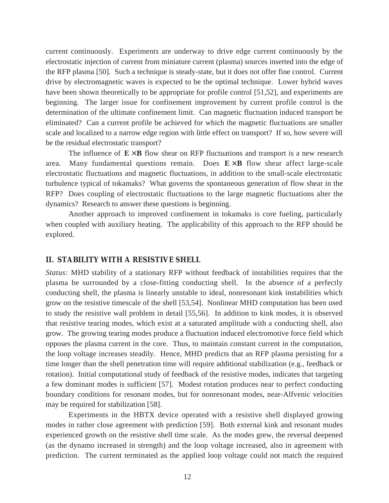current continuously. Experiments are underway to drive edge current continuously by the electrostatic injection of current from miniature current (plasma) sources inserted into the edge of the RFP plasma [50]. Such a technique is steady-state, but it does not offer fine control. Current drive by electromagnetic waves is expected to be the optimal technique. Lower hybrid waves have been shown theoretically to be appropriate for profile control [51,52], and experiments are beginning. The larger issue for confinement improvement by current profile control is the determination of the ultimate confinement limit. Can magnetic fluctuation induced transport be eliminated? Can a current profile be achieved for which the magnetic fluctuations are smaller scale and localized to a narrow edge region with little effect on transport? If so, how severe will be the residual electrostatic transport?

The influence of  $E \times B$  flow shear on RFP fluctuations and transport is a new research area. Many fundamental questions remain. Does  $E \times B$  flow shear affect large-scale electrostatic fluctuations and magnetic fluctuations, in addition to the small-scale electrostatic turbulence typical of tokamaks? What governs the spontaneous generation of flow shear in the RFP? Does coupling of electrostatic fluctuations to the large magnetic fluctuations alter the dynamics? Research to answer these questions is beginning.

Another approach to improved confinement in tokamaks is core fueling, particularly when coupled with auxiliary heating. The applicability of this approach to the RFP should be explored.

#### **II. STABILITY WITH A RESISTIVE SHELL**

*Status:* MHD stability of a stationary RFP without feedback of instabilities requires that the plasma be surrounded by a close-fitting conducting shell. In the absence of a perfectly conducting shell, the plasma is linearly unstable to ideal, nonresonant kink instabilities which grow on the resistive timescale of the shell [53,54]. Nonlinear MHD computation has been used to study the resistive wall problem in detail [55,56]. In addition to kink modes, it is observed that resistive tearing modes, which exist at a saturated amplitude with a conducting shell, also grow. The growing tearing modes produce a fluctuation induced electromotive force field which opposes the plasma current in the core. Thus, to maintain constant current in the computation, the loop voltage increases steadily. Hence, MHD predicts that an RFP plasma persisting for a time longer than the shell penetration time will require additional stabilization (e.g., feedback or rotation). Initial computational study of feedback of the resistive modes, indicates that targeting a few dominant modes is sufficient [57]. Modest rotation produces near to perfect conducting boundary conditions for resonant modes, but for nonresonant modes, near-Alfvenic velocities may be required for stabilization [58].

Experiments in the HBTX device operated with a resistive shell displayed growing modes in rather close agreement with prediction [59]. Both external kink and resonant modes experienced growth on the resistive shell time scale. As the modes grew, the reversal deepened (as the dynamo increased in strength) and the loop voltage increased, also in agreement with prediction. The current terminated as the applied loop voltage could not match the required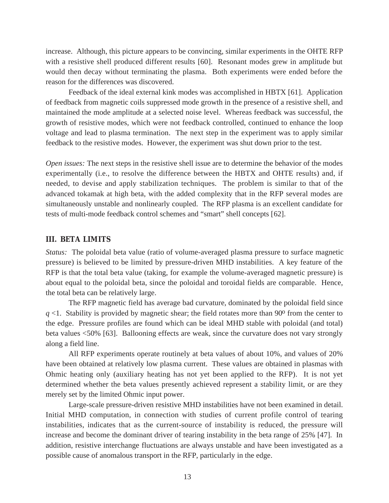increase. Although, this picture appears to be convincing, similar experiments in the OHTE RFP with a resistive shell produced different results [60]. Resonant modes grew in amplitude but would then decay without terminating the plasma. Both experiments were ended before the reason for the differences was discovered.

Feedback of the ideal external kink modes was accomplished in HBTX [61]. Application of feedback from magnetic coils suppressed mode growth in the presence of a resistive shell, and maintained the mode amplitude at a selected noise level. Whereas feedback was successful, the growth of resistive modes, which were not feedback controlled, continued to enhance the loop voltage and lead to plasma termination. The next step in the experiment was to apply similar feedback to the resistive modes. However, the experiment was shut down prior to the test.

*Open issues:* The next steps in the resistive shell issue are to determine the behavior of the modes experimentally (i.e., to resolve the difference between the HBTX and OHTE results) and, if needed, to devise and apply stabilization techniques. The problem is similar to that of the advanced tokamak at high beta, with the added complexity that in the RFP several modes are simultaneously unstable and nonlinearly coupled. The RFP plasma is an excellent candidate for tests of multi-mode feedback control schemes and "smart" shell concepts [62].

#### **III. BETA LIMITS**

*Status:* The poloidal beta value (ratio of volume-averaged plasma pressure to surface magnetic pressure) is believed to be limited by pressure-driven MHD instabilities. A key feature of the RFP is that the total beta value (taking, for example the volume-averaged magnetic pressure) is about equal to the poloidal beta, since the poloidal and toroidal fields are comparable. Hence, the total beta can be relatively large.

The RFP magnetic field has average bad curvature, dominated by the poloidal field since  $q$  <1. Stability is provided by magnetic shear; the field rotates more than 90 $\degree$  from the center to the edge. Pressure profiles are found which can be ideal MHD stable with poloidal (and total) beta values <50% [63]. Ballooning effects are weak, since the curvature does not vary strongly along a field line.

All RFP experiments operate routinely at beta values of about 10%, and values of 20% have been obtained at relatively low plasma current. These values are obtained in plasmas with Ohmic heating only (auxiliary heating has not yet been applied to the RFP). It is not yet determined whether the beta values presently achieved represent a stability limit, or are they merely set by the limited Ohmic input power.

Large-scale pressure-driven resistive MHD instabilities have not been examined in detail. Initial MHD computation, in connection with studies of current profile control of tearing instabilities, indicates that as the current-source of instability is reduced, the pressure will increase and become the dominant driver of tearing instability in the beta range of 25% [47]. In addition, resistive interchange fluctuations are always unstable and have been investigated as a possible cause of anomalous transport in the RFP, particularly in the edge.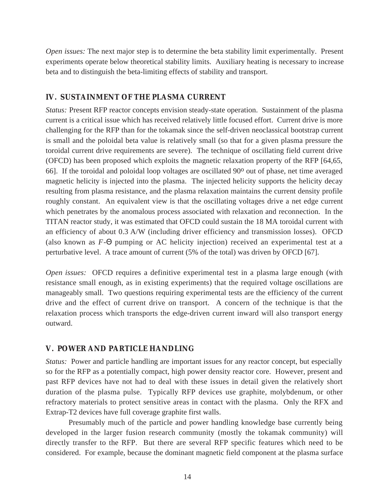*Open issues:* The next major step is to determine the beta stability limit experimentally. Present experiments operate below theoretical stability limits. Auxiliary heating is necessary to increase beta and to distinguish the beta-limiting effects of stability and transport.

#### **IV. SUSTAINMENT OF THE PLASMA CURRENT**

*Status:* Present RFP reactor concepts envision steady-state operation. Sustainment of the plasma current is a critical issue which has received relatively little focused effort. Current drive is more challenging for the RFP than for the tokamak since the self-driven neoclassical bootstrap current is small and the poloidal beta value is relatively small (so that for a given plasma pressure the toroidal current drive requirements are severe). The technique of oscillating field current drive (OFCD) has been proposed which exploits the magnetic relaxation property of the RFP [64,65, 66]. If the toroidal and poloidal loop voltages are oscillated 90o out of phase, net time averaged magnetic helicity is injected into the plasma. The injected helicity supports the helicity decay resulting from plasma resistance, and the plasma relaxation maintains the current density profile roughly constant. An equivalent view is that the oscillating voltages drive a net edge current which penetrates by the anomalous process associated with relaxation and reconnection. In the TITAN reactor study, it was estimated that OFCD could sustain the 18 MA toroidal current with an efficiency of about 0.3 A/W (including driver efficiency and transmission losses). OFCD (also known as *F*-Θ pumping or AC helicity injection) received an experimental test at a perturbative level. A trace amount of current (5% of the total) was driven by OFCD [67].

*Open issues:* OFCD requires a definitive experimental test in a plasma large enough (with resistance small enough, as in existing experiments) that the required voltage oscillations are manageably small. Two questions requiring experimental tests are the efficiency of the current drive and the effect of current drive on transport. A concern of the technique is that the relaxation process which transports the edge-driven current inward will also transport energy outward.

#### **V. POWER AND PARTICLE HANDLING**

*Status:* Power and particle handling are important issues for any reactor concept, but especially so for the RFP as a potentially compact, high power density reactor core. However, present and past RFP devices have not had to deal with these issues in detail given the relatively short duration of the plasma pulse. Typically RFP devices use graphite, molybdenum, or other refractory materials to protect sensitive areas in contact with the plasma. Only the RFX and Extrap-T2 devices have full coverage graphite first walls.

Presumably much of the particle and power handling knowledge base currently being developed in the larger fusion research community (mostly the tokamak community) will directly transfer to the RFP. But there are several RFP specific features which need to be considered. For example, because the dominant magnetic field component at the plasma surface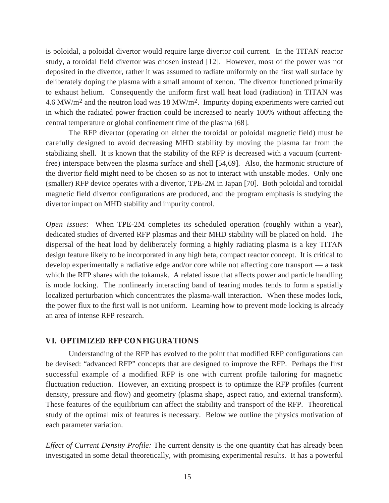is poloidal, a poloidal divertor would require large divertor coil current. In the TITAN reactor study, a toroidal field divertor was chosen instead [12]. However, most of the power was not deposited in the divertor, rather it was assumed to radiate uniformly on the first wall surface by deliberately doping the plasma with a small amount of xenon. The divertor functioned primarily to exhaust helium. Consequently the uniform first wall heat load (radiation) in TITAN was 4.6 MW/m<sup>2</sup> and the neutron load was 18 MW/m<sup>2</sup>. Impurity doping experiments were carried out in which the radiated power fraction could be increased to nearly 100% without affecting the central temperature or global confinement time of the plasma [68].

The RFP divertor (operating on either the toroidal or poloidal magnetic field) must be carefully designed to avoid decreasing MHD stability by moving the plasma far from the stabilizing shell. It is known that the stability of the RFP is decreased with a vacuum (currentfree) interspace between the plasma surface and shell [54,69]. Also, the harmonic structure of the divertor field might need to be chosen so as not to interact with unstable modes. Only one (smaller) RFP device operates with a divertor, TPE-2M in Japan [70]. Both poloidal and toroidal magnetic field divertor configurations are produced, and the program emphasis is studying the divertor impact on MHD stability and impurity control.

*Open issues*: When TPE-2M completes its scheduled operation (roughly within a year), dedicated studies of diverted RFP plasmas and their MHD stability will be placed on hold. The dispersal of the heat load by deliberately forming a highly radiating plasma is a key TITAN design feature likely to be incorporated in any high beta, compact reactor concept. It is critical to develop experimentally a radiative edge and/or core while not affecting core transport — a task which the RFP shares with the tokamak. A related issue that affects power and particle handling is mode locking. The nonlinearly interacting band of tearing modes tends to form a spatially localized perturbation which concentrates the plasma-wall interaction. When these modes lock, the power flux to the first wall is not uniform. Learning how to prevent mode locking is already an area of intense RFP research.

#### **VI. OPTIMIZED RFP CONFIGURATIONS**

Understanding of the RFP has evolved to the point that modified RFP configurations can be devised: "advanced RFP" concepts that are designed to improve the RFP. Perhaps the first successful example of a modified RFP is one with current profile tailoring for magnetic fluctuation reduction. However, an exciting prospect is to optimize the RFP profiles (current density, pressure and flow) and geometry (plasma shape, aspect ratio, and external transform). These features of the equilibrium can affect the stability and transport of the RFP. Theoretical study of the optimal mix of features is necessary. Below we outline the physics motivation of each parameter variation.

*Effect of Current Density Profile:* The current density is the one quantity that has already been investigated in some detail theoretically, with promising experimental results. It has a powerful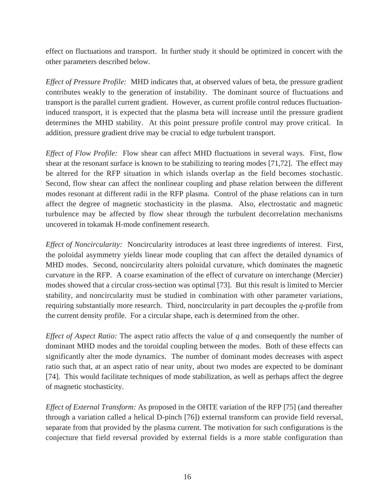effect on fluctuations and transport. In further study it should be optimized in concert with the other parameters described below.

*Effect of Pressure Profile:* MHD indicates that, at observed values of beta, the pressure gradient contributes weakly to the generation of instability. The dominant source of fluctuations and transport is the parallel current gradient. However, as current profile control reduces fluctuationinduced transport, it is expected that the plasma beta will increase until the pressure gradient determines the MHD stability. At this point pressure profile control may prove critical. In addition, pressure gradient drive may be crucial to edge turbulent transport.

*Effect of Flow Profile:* Flow shear can affect MHD fluctuations in several ways. First, flow shear at the resonant surface is known to be stabilizing to tearing modes [71,72]. The effect may be altered for the RFP situation in which islands overlap as the field becomes stochastic. Second, flow shear can affect the nonlinear coupling and phase relation between the different modes resonant at different radii in the RFP plasma. Control of the phase relations can in turn affect the degree of magnetic stochasticity in the plasma. Also, electrostatic and magnetic turbulence may be affected by flow shear through the turbulent decorrelation mechanisms uncovered in tokamak H-mode confinement research.

*Effect of Noncircularity:* Noncircularity introduces at least three ingredients of interest. First, the poloidal asymmetry yields linear mode coupling that can affect the detailed dynamics of MHD modes. Second, noncircularity alters poloidal curvature, which dominates the magnetic curvature in the RFP. A coarse examination of the effect of curvature on interchange (Mercier) modes showed that a circular cross-section was optimal [73]. But this result is limited to Mercier stability, and noncircularity must be studied in combination with other parameter variations, requiring substantially more research. Third, noncircularity in part decouples the *q*-profile from the current density profile. For a circular shape, each is determined from the other.

*Effect of Aspect Ratio:* The aspect ratio affects the value of *q* and consequently the number of dominant MHD modes and the toroidal coupling between the modes. Both of these effects can significantly alter the mode dynamics. The number of dominant modes decreases with aspect ratio such that, at an aspect ratio of near unity, about two modes are expected to be dominant [74]. This would facilitate techniques of mode stabilization, as well as perhaps affect the degree of magnetic stochasticity.

*Effect of External Transform:* As proposed in the OHTE variation of the RFP [75] (and thereafter through a variation called a helical D-pinch [76]) external transform can provide field reversal, separate from that provided by the plasma current. The motivation for such configurations is the conjecture that field reversal provided by external fields is a more stable configuration than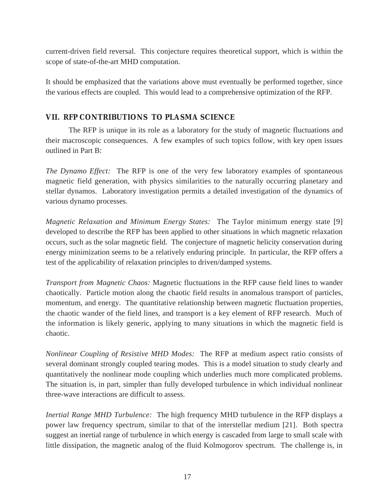current-driven field reversal. This conjecture requires theoretical support, which is within the scope of state-of-the-art MHD computation.

It should be emphasized that the variations above must eventually be performed together, since the various effects are coupled. This would lead to a comprehensive optimization of the RFP.

### **VII. RFP CONTRIBUTIONS TO PLASMA SCIENCE**

The RFP is unique in its role as a laboratory for the study of magnetic fluctuations and their macroscopic consequences. A few examples of such topics follow, with key open issues outlined in Part B:

*The Dynamo Effect:* The RFP is one of the very few laboratory examples of spontaneous magnetic field generation, with physics similarities to the naturally occurring planetary and stellar dynamos. Laboratory investigation permits a detailed investigation of the dynamics of various dynamo processes.

*Magnetic Relaxation and Minimum Energy States:* The Taylor minimum energy state [9] developed to describe the RFP has been applied to other situations in which magnetic relaxation occurs, such as the solar magnetic field. The conjecture of magnetic helicity conservation during energy minimization seems to be a relatively enduring principle. In particular, the RFP offers a test of the applicability of relaxation principles to driven/damped systems.

*Transport from Magnetic Chaos:* Magnetic fluctuations in the RFP cause field lines to wander chaotically. Particle motion along the chaotic field results in anomalous transport of particles, momentum, and energy. The quantitative relationship between magnetic fluctuation properties, the chaotic wander of the field lines, and transport is a key element of RFP research. Much of the information is likely generic, applying to many situations in which the magnetic field is chaotic.

*Nonlinear Coupling of Resistive MHD Modes:* The RFP at medium aspect ratio consists of several dominant strongly coupled tearing modes. This is a model situation to study clearly and quantitatively the nonlinear mode coupling which underlies much more complicated problems. The situation is, in part, simpler than fully developed turbulence in which individual nonlinear three-wave interactions are difficult to assess.

*Inertial Range MHD Turbulence:* The high frequency MHD turbulence in the RFP displays a power law frequency spectrum, similar to that of the interstellar medium [21]. Both spectra suggest an inertial range of turbulence in which energy is cascaded from large to small scale with little dissipation, the magnetic analog of the fluid Kolmogorov spectrum. The challenge is, in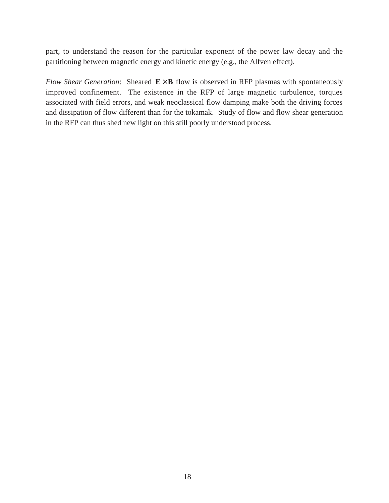part, to understand the reason for the particular exponent of the power law decay and the partitioning between magnetic energy and kinetic energy (e.g., the Alfven effect).

*Flow Shear Generation*: Sheared  $E \times B$  flow is observed in RFP plasmas with spontaneously improved confinement. The existence in the RFP of large magnetic turbulence, torques associated with field errors, and weak neoclassical flow damping make both the driving forces and dissipation of flow different than for the tokamak. Study of flow and flow shear generation in the RFP can thus shed new light on this still poorly understood process.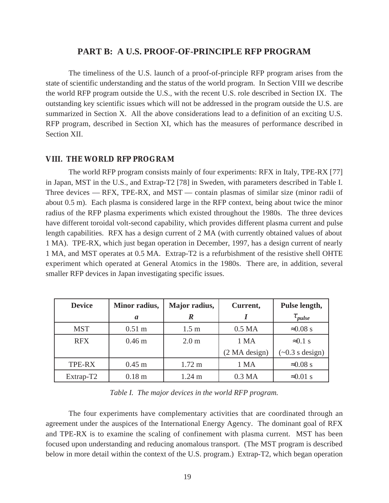### **PART B: A U.S. PROOF-OF-PRINCIPLE RFP PROGRAM**

The timeliness of the U.S. launch of a proof-of-principle RFP program arises from the state of scientific understanding and the status of the world program. In Section VIII we describe the world RFP program outside the U.S., with the recent U.S. role described in Section IX. The outstanding key scientific issues which will not be addressed in the program outside the U.S. are summarized in Section X. All the above considerations lead to a definition of an exciting U.S. RFP program, described in Section XI, which has the measures of performance described in Section XII.

#### **VIII. THE WORLD RFP PROGRAM**

The world RFP program consists mainly of four experiments: RFX in Italy, TPE-RX [77] in Japan, MST in the U.S., and Extrap-T2 [78] in Sweden, with parameters described in Table I. Three devices — RFX, TPE-RX, and MST — contain plasmas of similar size (minor radii of about 0.5 m). Each plasma is considered large in the RFP context, being about twice the minor radius of the RFP plasma experiments which existed throughout the 1980s. The three devices have different toroidal volt-second capability, which provides different plasma current and pulse length capabilities. RFX has a design current of 2 MA (with currently obtained values of about 1 MA). TPE-RX, which just began operation in December, 1997, has a design current of nearly 1 MA, and MST operates at 0.5 MA. Extrap-T2 is a refurbishment of the resistive shell OHTE experiment which operated at General Atomics in the 1980s. There are, in addition, several smaller RFP devices in Japan investigating specific issues.

| <b>Device</b> | Minor radius,     | Major radius,    | Current,           | Pulse length,                 |
|---------------|-------------------|------------------|--------------------|-------------------------------|
|               | a                 |                  |                    | $\tau_{pulse}$                |
| <b>MST</b>    | $0.51 \text{ m}$  | 1.5 <sub>m</sub> | 0.5 <sub>MA</sub>  | $\approx 0.08$ s              |
| <b>RFX</b>    | 0.46 <sub>m</sub> | 2.0 <sub>m</sub> | 1 MA               | $\approx 0.1$ s               |
|               |                   |                  | (2 MA design)      | $(\sim 0.3 \text{ s design})$ |
| TPE-RX        | $0.45$ m          | $1.72 \text{ m}$ | 1 MA               | $\approx 0.08$ s              |
| Extrap-T2     | 0.18 <sub>m</sub> | $1.24 \text{ m}$ | 0.3 <sub>M</sub> A | $\approx 0.01$ s              |

*Table I. The major devices in the world RFP program.*

The four experiments have complementary activities that are coordinated through an agreement under the auspices of the International Energy Agency. The dominant goal of RFX and TPE-RX is to examine the scaling of confinement with plasma current. MST has been focused upon understanding and reducing anomalous transport. (The MST program is described below in more detail within the context of the U.S. program.) Extrap-T2, which began operation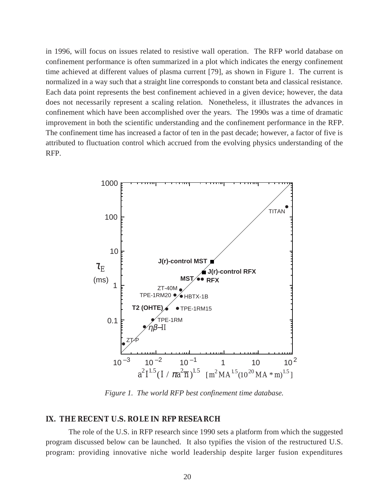in 1996, will focus on issues related to resistive wall operation. The RFP world database on confinement performance is often summarized in a plot which indicates the energy confinement time achieved at different values of plasma current [79], as shown in Figure 1. The current is normalized in a way such that a straight line corresponds to constant beta and classical resistance. Each data point represents the best confinement achieved in a given device; however, the data does not necessarily represent a scaling relation. Nonetheless, it illustrates the advances in confinement which have been accomplished over the years. The 1990s was a time of dramatic improvement in both the scientific understanding and the confinement performance in the RFP. The confinement time has increased a factor of ten in the past decade; however, a factor of five is attributed to fluctuation control which accrued from the evolving physics understanding of the RFP.



*Figure 1. The world RFP best confinement time database.*

#### **IX. THE RECENT U.S. ROLE IN RFP RESEARCH**

The role of the U.S. in RFP research since 1990 sets a platform from which the suggested program discussed below can be launched. It also typifies the vision of the restructured U.S. program: providing innovative niche world leadership despite larger fusion expenditures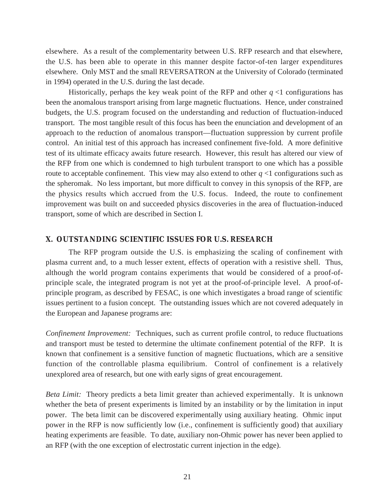elsewhere. As a result of the complementarity between U.S. RFP research and that elsewhere, the U.S. has been able to operate in this manner despite factor-of-ten larger expenditures elsewhere. Only MST and the small REVERSATRON at the University of Colorado (terminated in 1994) operated in the U.S. during the last decade.

Historically, perhaps the key weak point of the RFP and other  $q \leq 1$  configurations has been the anomalous transport arising from large magnetic fluctuations. Hence, under constrained budgets, the U.S. program focused on the understanding and reduction of fluctuation-induced transport. The most tangible result of this focus has been the enunciation and development of an approach to the reduction of anomalous transport—fluctuation suppression by current profile control. An initial test of this approach has increased confinement five-fold. A more definitive test of its ultimate efficacy awaits future research. However, this result has altered our view of the RFP from one which is condemned to high turbulent transport to one which has a possible route to acceptable confinement. This view may also extend to other  $q < 1$  configurations such as the spheromak. No less important, but more difficult to convey in this synopsis of the RFP, are the physics results which accrued from the U.S. focus. Indeed, the route to confinement improvement was built on and succeeded physics discoveries in the area of fluctuation-induced transport, some of which are described in Section I.

#### **X. OUTSTANDING SCIENTIFIC ISSUES FOR U.S. RESEARCH**

The RFP program outside the U.S. is emphasizing the scaling of confinement with plasma current and, to a much lesser extent, effects of operation with a resistive shell. Thus, although the world program contains experiments that would be considered of a proof-ofprinciple scale, the integrated program is not yet at the proof-of-principle level. A proof-ofprinciple program, as described by FESAC, is one which investigates a broad range of scientific issues pertinent to a fusion concept. The outstanding issues which are not covered adequately in the European and Japanese programs are:

*Confinement Improvement:* Techniques, such as current profile control, to reduce fluctuations and transport must be tested to determine the ultimate confinement potential of the RFP. It is known that confinement is a sensitive function of magnetic fluctuations, which are a sensitive function of the controllable plasma equilibrium. Control of confinement is a relatively unexplored area of research, but one with early signs of great encouragement.

*Beta Limit:* Theory predicts a beta limit greater than achieved experimentally. It is unknown whether the beta of present experiments is limited by an instability or by the limitation in input power. The beta limit can be discovered experimentally using auxiliary heating. Ohmic input power in the RFP is now sufficiently low (i.e., confinement is sufficiently good) that auxiliary heating experiments are feasible. To date, auxiliary non-Ohmic power has never been applied to an RFP (with the one exception of electrostatic current injection in the edge).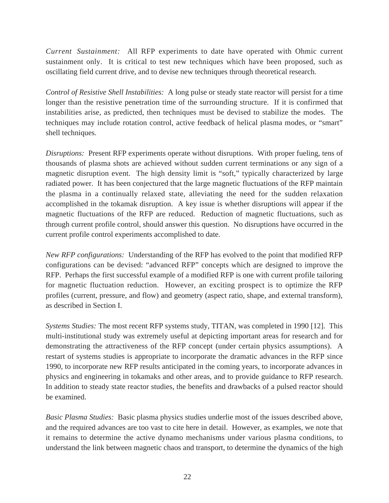*Current Sustainment:* All RFP experiments to date have operated with Ohmic current sustainment only. It is critical to test new techniques which have been proposed, such as oscillating field current drive, and to devise new techniques through theoretical research.

*Control of Resistive Shell Instabilities:* A long pulse or steady state reactor will persist for a time longer than the resistive penetration time of the surrounding structure. If it is confirmed that instabilities arise, as predicted, then techniques must be devised to stabilize the modes. The techniques may include rotation control, active feedback of helical plasma modes, or "smart" shell techniques.

*Disruptions:* Present RFP experiments operate without disruptions. With proper fueling, tens of thousands of plasma shots are achieved without sudden current terminations or any sign of a magnetic disruption event. The high density limit is "soft," typically characterized by large radiated power. It has been conjectured that the large magnetic fluctuations of the RFP maintain the plasma in a continually relaxed state, alleviating the need for the sudden relaxation accomplished in the tokamak disruption. A key issue is whether disruptions will appear if the magnetic fluctuations of the RFP are reduced. Reduction of magnetic fluctuations, such as through current profile control, should answer this question. No disruptions have occurred in the current profile control experiments accomplished to date.

*New RFP configurations:* Understanding of the RFP has evolved to the point that modified RFP configurations can be devised: "advanced RFP" concepts which are designed to improve the RFP. Perhaps the first successful example of a modified RFP is one with current profile tailoring for magnetic fluctuation reduction. However, an exciting prospect is to optimize the RFP profiles (current, pressure, and flow) and geometry (aspect ratio, shape, and external transform), as described in Section I.

*Systems Studies:* The most recent RFP systems study, TITAN, was completed in 1990 [12]. This multi-institutional study was extremely useful at depicting important areas for research and for demonstrating the attractiveness of the RFP concept (under certain physics assumptions). A restart of systems studies is appropriate to incorporate the dramatic advances in the RFP since 1990, to incorporate new RFP results anticipated in the coming years, to incorporate advances in physics and engineering in tokamaks and other areas, and to provide guidance to RFP research. In addition to steady state reactor studies, the benefits and drawbacks of a pulsed reactor should be examined.

*Basic Plasma Studies:* Basic plasma physics studies underlie most of the issues described above, and the required advances are too vast to cite here in detail. However, as examples, we note that it remains to determine the active dynamo mechanisms under various plasma conditions, to understand the link between magnetic chaos and transport, to determine the dynamics of the high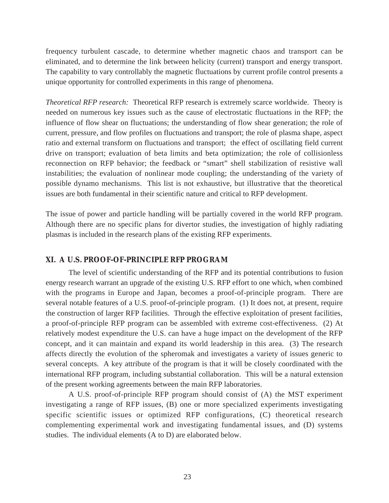frequency turbulent cascade, to determine whether magnetic chaos and transport can be eliminated, and to determine the link between helicity (current) transport and energy transport. The capability to vary controllably the magnetic fluctuations by current profile control presents a unique opportunity for controlled experiments in this range of phenomena.

*Theoretical RFP research:* Theoretical RFP research is extremely scarce worldwide. Theory is needed on numerous key issues such as the cause of electrostatic fluctuations in the RFP; the influence of flow shear on fluctuations; the understanding of flow shear generation; the role of current, pressure, and flow profiles on fluctuations and transport; the role of plasma shape, aspect ratio and external transform on fluctuations and transport; the effect of oscillating field current drive on transport; evaluation of beta limits and beta optimization; the role of collisionless reconnection on RFP behavior; the feedback or "smart" shell stabilization of resistive wall instabilities; the evaluation of nonlinear mode coupling; the understanding of the variety of possible dynamo mechanisms. This list is not exhaustive, but illustrative that the theoretical issues are both fundamental in their scientific nature and critical to RFP development.

The issue of power and particle handling will be partially covered in the world RFP program. Although there are no specific plans for divertor studies, the investigation of highly radiating plasmas is included in the research plans of the existing RFP experiments.

#### **XI. A U.S. PROOF-OF-PRINCIPLE RFP PROGRAM**

The level of scientific understanding of the RFP and its potential contributions to fusion energy research warrant an upgrade of the existing U.S. RFP effort to one which, when combined with the programs in Europe and Japan, becomes a proof-of-principle program. There are several notable features of a U.S. proof-of-principle program. (1) It does not, at present, require the construction of larger RFP facilities. Through the effective exploitation of present facilities, a proof-of-principle RFP program can be assembled with extreme cost-effectiveness. (2) At relatively modest expenditure the U.S. can have a huge impact on the development of the RFP concept, and it can maintain and expand its world leadership in this area. (3) The research affects directly the evolution of the spheromak and investigates a variety of issues generic to several concepts. A key attribute of the program is that it will be closely coordinated with the international RFP program, including substantial collaboration. This will be a natural extension of the present working agreements between the main RFP laboratories.

A U.S. proof-of-principle RFP program should consist of (A) the MST experiment investigating a range of RFP issues, (B) one or more specialized experiments investigating specific scientific issues or optimized RFP configurations, (C) theoretical research complementing experimental work and investigating fundamental issues, and (D) systems studies. The individual elements (A to D) are elaborated below.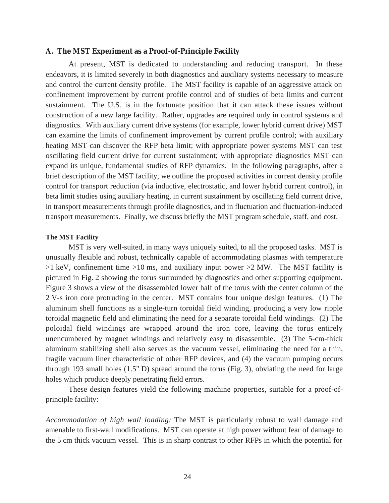#### **A. The MST Experiment as a Proof-of-Principle Facility**

At present, MST is dedicated to understanding and reducing transport. In these endeavors, it is limited severely in both diagnostics and auxiliary systems necessary to measure and control the current density profile. The MST facility is capable of an aggressive attack on confinement improvement by current profile control and of studies of beta limits and current sustainment. The U.S. is in the fortunate position that it can attack these issues without construction of a new large facility. Rather, upgrades are required only in control systems and diagnostics. With auxiliary current drive systems (for example, lower hybrid current drive) MST can examine the limits of confinement improvement by current profile control; with auxiliary heating MST can discover the RFP beta limit; with appropriate power systems MST can test oscillating field current drive for current sustainment; with appropriate diagnostics MST can expand its unique, fundamental studies of RFP dynamics. In the following paragraphs, after a brief description of the MST facility, we outline the proposed activities in current density profile control for transport reduction (via inductive, electrostatic, and lower hybrid current control), in beta limit studies using auxiliary heating, in current sustainment by oscillating field current drive, in transport measurements through profile diagnostics, and in fluctuation and fluctuation-induced transport measurements. Finally, we discuss briefly the MST program schedule, staff, and cost.

#### **The MST Facility**

MST is very well-suited, in many ways uniquely suited, to all the proposed tasks. MST is unusually flexible and robust, technically capable of accommodating plasmas with temperature  $>1$  keV, confinement time  $>10$  ms, and auxiliary input power  $>2$  MW. The MST facility is pictured in Fig. 2 showing the torus surrounded by diagnostics and other supporting equipment. Figure 3 shows a view of the disassembled lower half of the torus with the center column of the 2 V-s iron core protruding in the center. MST contains four unique design features. (1) The aluminum shell functions as a single-turn toroidal field winding, producing a very low ripple toroidal magnetic field and eliminating the need for a separate toroidal field windings. (2) The poloidal field windings are wrapped around the iron core, leaving the torus entirely unencumbered by magnet windings and relatively easy to disassemble. (3) The 5-cm-thick aluminum stabilizing shell also serves as the vacuum vessel, eliminating the need for a thin, fragile vacuum liner characteristic of other RFP devices, and (4) the vacuum pumping occurs through 193 small holes (1.5" D) spread around the torus (Fig. 3), obviating the need for large holes which produce deeply penetrating field errors.

These design features yield the following machine properties, suitable for a proof-ofprinciple facility:

*Accommodation of high wall loading:* The MST is particularly robust to wall damage and amenable to first-wall modifications. MST can operate at high power without fear of damage to the 5 cm thick vacuum vessel. This is in sharp contrast to other RFPs in which the potential for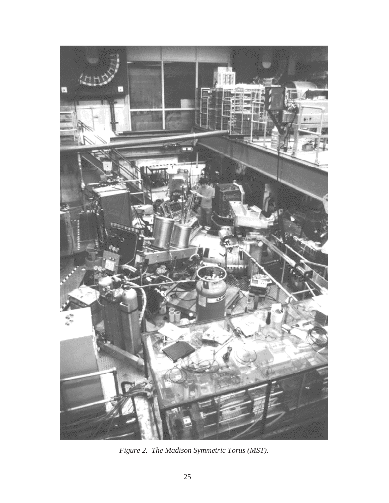

*Figure 2. The Madison Symmetric Torus (MST).*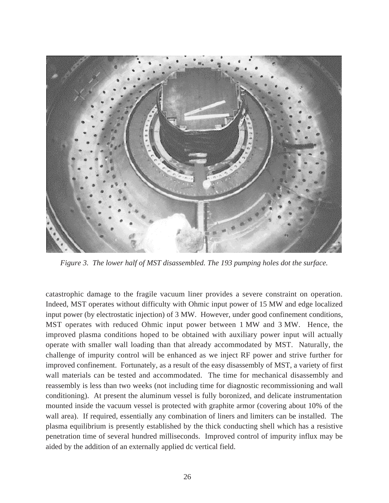

*Figure 3. The lower half of MST disassembled. The 193 pumping holes dot the surface.*

catastrophic damage to the fragile vacuum liner provides a severe constraint on operation. Indeed, MST operates without difficulty with Ohmic input power of 15 MW and edge localized input power (by electrostatic injection) of 3 MW. However, under good confinement conditions, MST operates with reduced Ohmic input power between 1 MW and 3 MW. Hence, the improved plasma conditions hoped to be obtained with auxiliary power input will actually operate with smaller wall loading than that already accommodated by MST. Naturally, the challenge of impurity control will be enhanced as we inject RF power and strive further for improved confinement. Fortunately, as a result of the easy disassembly of MST, a variety of first wall materials can be tested and accommodated. The time for mechanical disassembly and reassembly is less than two weeks (not including time for diagnostic recommissioning and wall conditioning). At present the aluminum vessel is fully boronized, and delicate instrumentation mounted inside the vacuum vessel is protected with graphite armor (covering about 10% of the wall area). If required, essentially any combination of liners and limiters can be installed. The plasma equilibrium is presently established by the thick conducting shell which has a resistive penetration time of several hundred milliseconds. Improved control of impurity influx may be aided by the addition of an externally applied dc vertical field.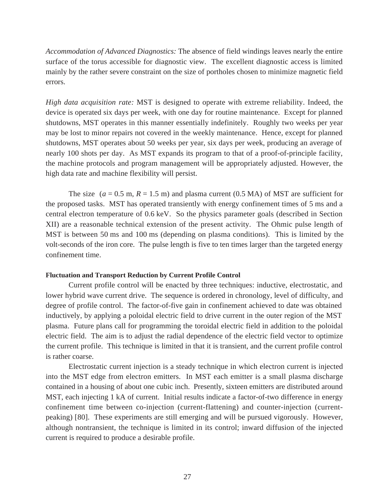*Accommodation of Advanced Diagnostics:* The absence of field windings leaves nearly the entire surface of the torus accessible for diagnostic view. The excellent diagnostic access is limited mainly by the rather severe constraint on the size of portholes chosen to minimize magnetic field errors.

*High data acquisition rate:* MST is designed to operate with extreme reliability. Indeed, the device is operated six days per week, with one day for routine maintenance. Except for planned shutdowns, MST operates in this manner essentially indefinitely. Roughly two weeks per year may be lost to minor repairs not covered in the weekly maintenance. Hence, except for planned shutdowns, MST operates about 50 weeks per year, six days per week, producing an average of nearly 100 shots per day. As MST expands its program to that of a proof-of-principle facility, the machine protocols and program management will be appropriately adjusted. However, the high data rate and machine flexibility will persist.

The size  $(a = 0.5 \text{ m}, R = 1.5 \text{ m})$  and plasma current  $(0.5 \text{ MA})$  of MST are sufficient for the proposed tasks. MST has operated transiently with energy confinement times of 5 ms and a central electron temperature of 0.6 keV. So the physics parameter goals (described in Section XII) are a reasonable technical extension of the present activity. The Ohmic pulse length of MST is between 50 ms and 100 ms (depending on plasma conditions). This is limited by the volt-seconds of the iron core. The pulse length is five to ten times larger than the targeted energy confinement time.

#### **Fluctuation and Transport Reduction by Current Profile Control**

Current profile control will be enacted by three techniques: inductive, electrostatic, and lower hybrid wave current drive. The sequence is ordered in chronology, level of difficulty, and degree of profile control. The factor-of-five gain in confinement achieved to date was obtained inductively, by applying a poloidal electric field to drive current in the outer region of the MST plasma. Future plans call for programming the toroidal electric field in addition to the poloidal electric field. The aim is to adjust the radial dependence of the electric field vector to optimize the current profile. This technique is limited in that it is transient, and the current profile control is rather coarse.

Electrostatic current injection is a steady technique in which electron current is injected into the MST edge from electron emitters. In MST each emitter is a small plasma discharge contained in a housing of about one cubic inch. Presently, sixteen emitters are distributed around MST, each injecting 1 kA of current. Initial results indicate a factor-of-two difference in energy confinement time between co-injection (current-flattening) and counter-injection (currentpeaking) [80]. These experiments are still emerging and will be pursued vigorously. However, although nontransient, the technique is limited in its control; inward diffusion of the injected current is required to produce a desirable profile.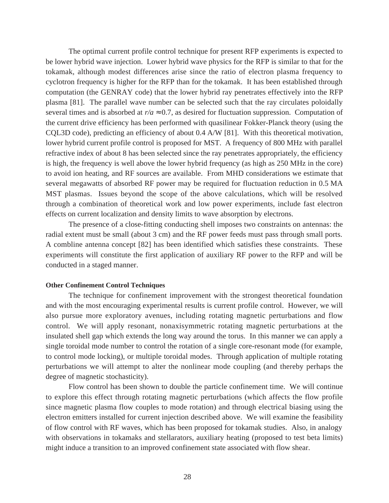The optimal current profile control technique for present RFP experiments is expected to be lower hybrid wave injection. Lower hybrid wave physics for the RFP is similar to that for the tokamak, although modest differences arise since the ratio of electron plasma frequency to cyclotron frequency is higher for the RFP than for the tokamak. It has been established through computation (the GENRAY code) that the lower hybrid ray penetrates effectively into the RFP plasma [81]. The parallel wave number can be selected such that the ray circulates poloidally several times and is absorbed at  $r/a \approx 0.7$ , as desired for fluctuation suppression. Computation of the current drive efficiency has been performed with quasilinear Fokker-Planck theory (using the CQL3D code), predicting an efficiency of about 0.4 A/W [81]. With this theoretical motivation, lower hybrid current profile control is proposed for MST. A frequency of 800 MHz with parallel refractive index of about 8 has been selected since the ray penetrates appropriately, the efficiency is high, the frequency is well above the lower hybrid frequency (as high as 250 MHz in the core) to avoid ion heating, and RF sources are available. From MHD considerations we estimate that several megawatts of absorbed RF power may be required for fluctuation reduction in 0.5 MA MST plasmas. Issues beyond the scope of the above calculations, which will be resolved through a combination of theoretical work and low power experiments, include fast electron effects on current localization and density limits to wave absorption by electrons.

The presence of a close-fitting conducting shell imposes two constraints on antennas: the radial extent must be small (about 3 cm) and the RF power feeds must pass through small ports. A combline antenna concept [82] has been identified which satisfies these constraints. These experiments will constitute the first application of auxiliary RF power to the RFP and will be conducted in a staged manner.

#### **Other Confinement Control Techniques**

The technique for confinement improvement with the strongest theoretical foundation and with the most encouraging experimental results is current profile control. However, we will also pursue more exploratory avenues, including rotating magnetic perturbations and flow control. We will apply resonant, nonaxisymmetric rotating magnetic perturbations at the insulated shell gap which extends the long way around the torus. In this manner we can apply a single toroidal mode number to control the rotation of a single core-resonant mode (for example, to control mode locking), or multiple toroidal modes. Through application of multiple rotating perturbations we will attempt to alter the nonlinear mode coupling (and thereby perhaps the degree of magnetic stochasticity).

Flow control has been shown to double the particle confinement time. We will continue to explore this effect through rotating magnetic perturbations (which affects the flow profile since magnetic plasma flow couples to mode rotation) and through electrical biasing using the electron emitters installed for current injection described above. We will examine the feasibility of flow control with RF waves, which has been proposed for tokamak studies. Also, in analogy with observations in tokamaks and stellarators, auxiliary heating (proposed to test beta limits) might induce a transition to an improved confinement state associated with flow shear.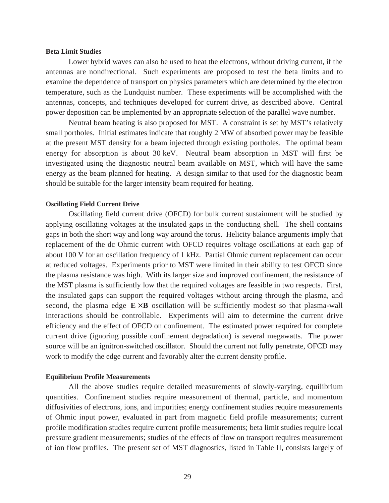#### **Beta Limit Studies**

Lower hybrid waves can also be used to heat the electrons, without driving current, if the antennas are nondirectional. Such experiments are proposed to test the beta limits and to examine the dependence of transport on physics parameters which are determined by the electron temperature, such as the Lundquist number. These experiments will be accomplished with the antennas, concepts, and techniques developed for current drive, as described above. Central power deposition can be implemented by an appropriate selection of the parallel wave number.

Neutral beam heating is also proposed for MST. A constraint is set by MST's relatively small portholes. Initial estimates indicate that roughly 2 MW of absorbed power may be feasible at the present MST density for a beam injected through existing portholes. The optimal beam energy for absorption is about 30 keV. Neutral beam absorption in MST will first be investigated using the diagnostic neutral beam available on MST, which will have the same energy as the beam planned for heating. A design similar to that used for the diagnostic beam should be suitable for the larger intensity beam required for heating.

#### **Oscillating Field Current Drive**

Oscillating field current drive (OFCD) for bulk current sustainment will be studied by applying oscillating voltages at the insulated gaps in the conducting shell. The shell contains gaps in both the short way and long way around the torus. Helicity balance arguments imply that replacement of the dc Ohmic current with OFCD requires voltage oscillations at each gap of about 100 V for an oscillation frequency of 1 kHz. Partial Ohmic current replacement can occur at reduced voltages. Experiments prior to MST were limited in their ability to test OFCD since the plasma resistance was high. With its larger size and improved confinement, the resistance of the MST plasma is sufficiently low that the required voltages are feasible in two respects. First, the insulated gaps can support the required voltages without arcing through the plasma, and second, the plasma edge  $E \times B$  oscillation will be sufficiently modest so that plasma-wall interactions should be controllable. Experiments will aim to determine the current drive efficiency and the effect of OFCD on confinement. The estimated power required for complete current drive (ignoring possible confinement degradation) is several megawatts. The power source will be an ignitron-switched oscillator. Should the current not fully penetrate, OFCD may work to modify the edge current and favorably alter the current density profile.

#### **Equilibrium Profile Measurements**

All the above studies require detailed measurements of slowly-varying, equilibrium quantities. Confinement studies require measurement of thermal, particle, and momentum diffusivities of electrons, ions, and impurities; energy confinement studies require measurements of Ohmic input power, evaluated in part from magnetic field profile measurements; current profile modification studies require current profile measurements; beta limit studies require local pressure gradient measurements; studies of the effects of flow on transport requires measurement of ion flow profiles. The present set of MST diagnostics, listed in Table II, consists largely of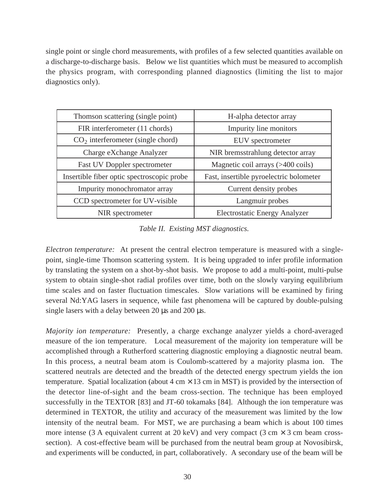single point or single chord measurements, with profiles of a few selected quantities available on a discharge-to-discharge basis. Below we list quantities which must be measured to accomplish the physics program, with corresponding planned diagnostics (limiting the list to major diagnostics only).

| Thomson scattering (single point)          | H-alpha detector array                  |
|--------------------------------------------|-----------------------------------------|
| FIR interferometer (11 chords)             | Impurity line monitors                  |
| $CO2$ interferometer (single chord)        | EUV spectrometer                        |
| Charge eXchange Analyzer                   | NIR bremsstrahlung detector array       |
| Fast UV Doppler spectrometer               | Magnetic coil arrays (>400 coils)       |
| Insertible fiber optic spectroscopic probe | Fast, insertible pyroelectric bolometer |
| Impurity monochromator array               | Current density probes                  |
| CCD spectrometer for UV-visible            | Langmuir probes                         |
| NIR spectrometer                           | <b>Electrostatic Energy Analyzer</b>    |

*Table II. Existing MST diagnostics.*

*Electron temperature:* At present the central electron temperature is measured with a singlepoint, single-time Thomson scattering system. It is being upgraded to infer profile information by translating the system on a shot-by-shot basis. We propose to add a multi-point, multi-pulse system to obtain single-shot radial profiles over time, both on the slowly varying equilibrium time scales and on faster fluctuation timescales. Slow variations will be examined by firing several Nd:YAG lasers in sequence, while fast phenomena will be captured by double-pulsing single lasers with a delay between 20  $\mu$ s and 200  $\mu$ s.

*Majority ion temperature:* Presently, a charge exchange analyzer yields a chord-averaged measure of the ion temperature. Local measurement of the majority ion temperature will be accomplished through a Rutherford scattering diagnostic employing a diagnostic neutral beam. In this process, a neutral beam atom is Coulomb-scattered by a majority plasma ion. The scattered neutrals are detected and the breadth of the detected energy spectrum yields the ion temperature. Spatial localization (about  $4 \text{ cm} \times 13 \text{ cm}$  in MST) is provided by the intersection of the detector line-of-sight and the beam cross-section. The technique has been employed successfully in the TEXTOR [83] and JT-60 tokamaks [84]. Although the ion temperature was determined in TEXTOR, the utility and accuracy of the measurement was limited by the low intensity of the neutral beam. For MST, we are purchasing a beam which is about 100 times more intense (3 A equivalent current at 20 keV) and very compact (3 cm  $\times$  3 cm beam crosssection). A cost-effective beam will be purchased from the neutral beam group at Novosibirsk, and experiments will be conducted, in part, collaboratively. A secondary use of the beam will be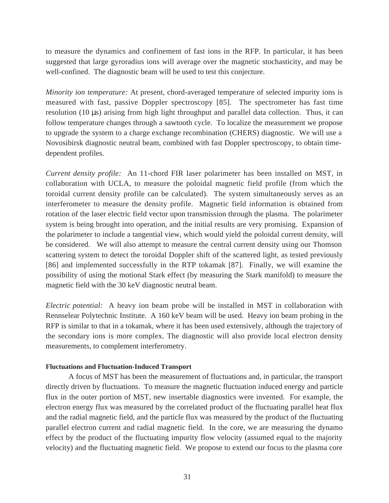to measure the dynamics and confinement of fast ions in the RFP. In particular, it has been suggested that large gyroradius ions will average over the magnetic stochasticity, and may be well-confined. The diagnostic beam will be used to test this conjecture.

*Minority ion temperature:* At present, chord-averaged temperature of selected impurity ions is measured with fast, passive Doppler spectroscopy [85]. The spectrometer has fast time resolution (10 µs) arising from high light throughput and parallel data collection. Thus, it can follow temperature changes through a sawtooth cycle. To localize the measurement we propose to upgrade the system to a charge exchange recombination (CHERS) diagnostic. We will use a Novosibirsk diagnostic neutral beam, combined with fast Doppler spectroscopy, to obtain timedependent profiles.

*Current density profile:* An 11-chord FIR laser polarimeter has been installed on MST, in collaboration with UCLA, to measure the poloidal magnetic field profile (from which the toroidal current density profile can be calculated). The system simultaneously serves as an interferometer to measure the density profile. Magnetic field information is obtained from rotation of the laser electric field vector upon transmission through the plasma. The polarimeter system is being brought into operation, and the initial results are very promising. Expansion of the polarimeter to include a tangential view, which would yield the poloidal current density, will be considered. We will also attempt to measure the central current density using our Thomson scattering system to detect the toroidal Doppler shift of the scattered light, as tested previously [86] and implemented successfully in the RTP tokamak [87]. Finally, we will examine the possibility of using the motional Stark effect (by measuring the Stark manifold) to measure the magnetic field with the 30 keV diagnostic neutral beam.

*Electric potential:* A heavy ion beam probe will be installed in MST in collaboration with Rennselear Polytechnic Institute. A 160 keV beam will be used. Heavy ion beam probing in the RFP is similar to that in a tokamak, where it has been used extensively, although the trajectory of the secondary ions is more complex. The diagnostic will also provide local electron density measurements, to complement interferometry.

#### **Fluctuations and Fluctuation-Induced Transport**

A focus of MST has been the measurement of fluctuations and, in particular, the transport directly driven by fluctuations. To measure the magnetic fluctuation induced energy and particle flux in the outer portion of MST, new insertable diagnostics were invented. For example, the electron energy flux was measured by the correlated product of the fluctuating parallel heat flux and the radial magnetic field, and the particle flux was measured by the product of the fluctuating parallel electron current and radial magnetic field. In the core, we are measuring the dynamo effect by the product of the fluctuating impurity flow velocity (assumed equal to the majority velocity) and the fluctuating magnetic field. We propose to extend our focus to the plasma core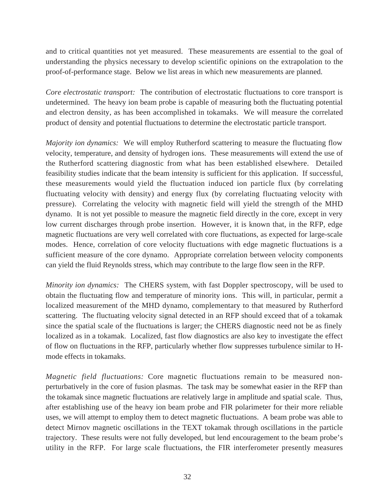and to critical quantities not yet measured. These measurements are essential to the goal of understanding the physics necessary to develop scientific opinions on the extrapolation to the proof-of-performance stage. Below we list areas in which new measurements are planned.

*Core electrostatic transport:* The contribution of electrostatic fluctuations to core transport is undetermined. The heavy ion beam probe is capable of measuring both the fluctuating potential and electron density, as has been accomplished in tokamaks. We will measure the correlated product of density and potential fluctuations to determine the electrostatic particle transport.

*Majority ion dynamics:* We will employ Rutherford scattering to measure the fluctuating flow velocity, temperature, and density of hydrogen ions. These measurements will extend the use of the Rutherford scattering diagnostic from what has been established elsewhere. Detailed feasibility studies indicate that the beam intensity is sufficient for this application. If successful, these measurements would yield the fluctuation induced ion particle flux (by correlating fluctuating velocity with density) and energy flux (by correlating fluctuating velocity with pressure). Correlating the velocity with magnetic field will yield the strength of the MHD dynamo. It is not yet possible to measure the magnetic field directly in the core, except in very low current discharges through probe insertion. However, it is known that, in the RFP, edge magnetic fluctuations are very well correlated with core fluctuations, as expected for large-scale modes. Hence, correlation of core velocity fluctuations with edge magnetic fluctuations is a sufficient measure of the core dynamo. Appropriate correlation between velocity components can yield the fluid Reynolds stress, which may contribute to the large flow seen in the RFP.

*Minority ion dynamics:* The CHERS system, with fast Doppler spectroscopy, will be used to obtain the fluctuating flow and temperature of minority ions. This will, in particular, permit a localized measurement of the MHD dynamo, complementary to that measured by Rutherford scattering. The fluctuating velocity signal detected in an RFP should exceed that of a tokamak since the spatial scale of the fluctuations is larger; the CHERS diagnostic need not be as finely localized as in a tokamak. Localized, fast flow diagnostics are also key to investigate the effect of flow on fluctuations in the RFP, particularly whether flow suppresses turbulence similar to Hmode effects in tokamaks.

*Magnetic field fluctuations:* Core magnetic fluctuations remain to be measured nonperturbatively in the core of fusion plasmas. The task may be somewhat easier in the RFP than the tokamak since magnetic fluctuations are relatively large in amplitude and spatial scale. Thus, after establishing use of the heavy ion beam probe and FIR polarimeter for their more reliable uses, we will attempt to employ them to detect magnetic fluctuations. A beam probe was able to detect Mirnov magnetic oscillations in the TEXT tokamak through oscillations in the particle trajectory. These results were not fully developed, but lend encouragement to the beam probe's utility in the RFP. For large scale fluctuations, the FIR interferometer presently measures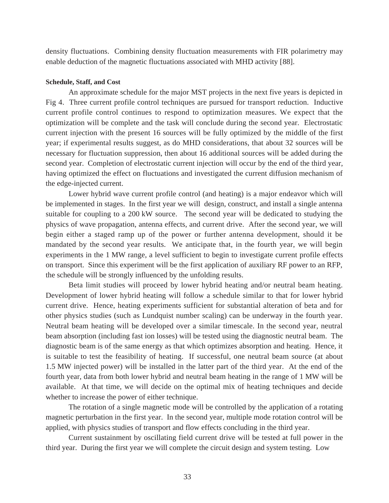density fluctuations. Combining density fluctuation measurements with FIR polarimetry may enable deduction of the magnetic fluctuations associated with MHD activity [88].

#### **Schedule, Staff, and Cost**

An approximate schedule for the major MST projects in the next five years is depicted in Fig 4. Three current profile control techniques are pursued for transport reduction. Inductive current profile control continues to respond to optimization measures. We expect that the optimization will be complete and the task will conclude during the second year. Electrostatic current injection with the present 16 sources will be fully optimized by the middle of the first year; if experimental results suggest, as do MHD considerations, that about 32 sources will be necessary for fluctuation suppression, then about 16 additional sources will be added during the second year. Completion of electrostatic current injection will occur by the end of the third year, having optimized the effect on fluctuations and investigated the current diffusion mechanism of the edge-injected current.

Lower hybrid wave current profile control (and heating) is a major endeavor which will be implemented in stages. In the first year we will design, construct, and install a single antenna suitable for coupling to a 200 kW source. The second year will be dedicated to studying the physics of wave propagation, antenna effects, and current drive. After the second year, we will begin either a staged ramp up of the power or further antenna development, should it be mandated by the second year results. We anticipate that, in the fourth year, we will begin experiments in the 1 MW range, a level sufficient to begin to investigate current profile effects on transport. Since this experiment will be the first application of auxiliary RF power to an RFP, the schedule will be strongly influenced by the unfolding results.

Beta limit studies will proceed by lower hybrid heating and/or neutral beam heating. Development of lower hybrid heating will follow a schedule similar to that for lower hybrid current drive. Hence, heating experiments sufficient for substantial alteration of beta and for other physics studies (such as Lundquist number scaling) can be underway in the fourth year. Neutral beam heating will be developed over a similar timescale. In the second year, neutral beam absorption (including fast ion losses) will be tested using the diagnostic neutral beam. The diagnostic beam is of the same energy as that which optimizes absorption and heating. Hence, it is suitable to test the feasibility of heating. If successful, one neutral beam source (at about 1.5 MW injected power) will be installed in the latter part of the third year. At the end of the fourth year, data from both lower hybrid and neutral beam heating in the range of 1 MW will be available. At that time, we will decide on the optimal mix of heating techniques and decide whether to increase the power of either technique.

The rotation of a single magnetic mode will be controlled by the application of a rotating magnetic perturbation in the first year. In the second year, multiple mode rotation control will be applied, with physics studies of transport and flow effects concluding in the third year.

Current sustainment by oscillating field current drive will be tested at full power in the third year. During the first year we will complete the circuit design and system testing. Low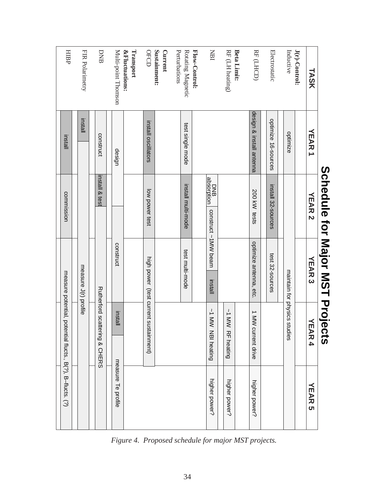|                                        |                          | ここくこく<br>$\overline{\mathbf{C}}$ | <u>ייטן ייוניו ה</u>           | )<br>با<br>د<br>ć                                         |                    |
|----------------------------------------|--------------------------|----------------------------------|--------------------------------|-----------------------------------------------------------|--------------------|
| TASK                                   | <b>YEAR 1</b>            | <b>YEAR 2</b>                    | <b>YEAR 3</b>                  | トロマロ<br>4                                                 | トロマロ<br>ហ          |
| J(r)-Control:                          |                          |                                  |                                |                                                           |                    |
| Inductive                              | optimize                 |                                  |                                | maintain for physics stud<br>lies                         |                    |
| Electrostatic                          | optimize 16-sources      | install 32-sources               | test 32-sources                |                                                           |                    |
|                                        |                          |                                  |                                |                                                           |                    |
| RF (LHCD)                              | design & install antenna | 200 kW tests                     | optimize antenna, etc.         | 1 MW cu<br><b>Irrent drive</b>                            | higher power?      |
| <b>Beta Limit:</b>                     |                          |                                  |                                |                                                           |                    |
| RF (LH heating)                        |                          |                                  |                                | ~1 MW RF heating                                          | higher power?      |
| IRI                                    |                          | BND<br>Bosorption                | construct ~1MW beam<br>install | ~1 MW NBI heating                                         | higher power?      |
| Flow-Control:                          |                          |                                  |                                |                                                           |                    |
| Perturbations<br>Rotating Magnetic     | test single mode         | install multi-mode               | test multi-mode                |                                                           |                    |
| Sustainment:<br><b>Current</b>         |                          |                                  |                                |                                                           |                    |
| OFCD                                   | install oscillators      | low power test                   |                                | high power (test current sustainment)                     |                    |
| <b>&amp;Fluctuations:</b><br>Transport |                          |                                  |                                |                                                           |                    |
| Multi-point Thomson                    | design                   |                                  | construct                      | install                                                   | measure Te profile |
| DNB                                    | construct                | install & test                   |                                | <b>Rutherford scatter</b><br>ing & CHERS                  |                    |
|                                        |                          |                                  |                                |                                                           |                    |
| FIR Polarimetry                        | <b>Install</b>           |                                  | measure J(r) profile           |                                                           |                    |
| HIBP                                   | install                  | commission                       |                                | measure potential, potential flucts., B(?), B-flucts. (?) |                    |
|                                        |                          |                                  |                                |                                                           |                    |

**Scredule tor Major MST Projects Schedule for Major MST Projects**

*Figure 4. Proposed schedule for major MST projects.*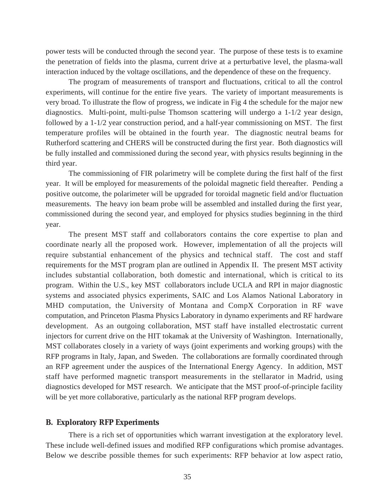power tests will be conducted through the second year. The purpose of these tests is to examine the penetration of fields into the plasma, current drive at a perturbative level, the plasma-wall interaction induced by the voltage oscillations, and the dependence of these on the frequency.

The program of measurements of transport and fluctuations, critical to all the control experiments, will continue for the entire five years. The variety of important measurements is very broad. To illustrate the flow of progress, we indicate in Fig 4 the schedule for the major new diagnostics. Multi-point, multi-pulse Thomson scattering will undergo a 1-1/2 year design, followed by a 1-1/2 year construction period, and a half-year commissioning on MST. The first temperature profiles will be obtained in the fourth year. The diagnostic neutral beams for Rutherford scattering and CHERS will be constructed during the first year. Both diagnostics will be fully installed and commissioned during the second year, with physics results beginning in the third year.

The commissioning of FIR polarimetry will be complete during the first half of the first year. It will be employed for measurements of the poloidal magnetic field thereafter. Pending a positive outcome, the polarimeter will be upgraded for toroidal magnetic field and/or fluctuation measurements. The heavy ion beam probe will be assembled and installed during the first year, commissioned during the second year, and employed for physics studies beginning in the third year.

The present MST staff and collaborators contains the core expertise to plan and coordinate nearly all the proposed work. However, implementation of all the projects will require substantial enhancement of the physics and technical staff. The cost and staff requirements for the MST program plan are outlined in Appendix II. The present MST activity includes substantial collaboration, both domestic and international, which is critical to its program. Within the U.S., key MST collaborators include UCLA and RPI in major diagnostic systems and associated physics experiments, SAIC and Los Alamos National Laboratory in MHD computation, the University of Montana and CompX Corporation in RF wave computation, and Princeton Plasma Physics Laboratory in dynamo experiments and RF hardware development. As an outgoing collaboration, MST staff have installed electrostatic current injectors for current drive on the HIT tokamak at the University of Washington. Internationally, MST collaborates closely in a variety of ways (joint experiments and working groups) with the RFP programs in Italy, Japan, and Sweden. The collaborations are formally coordinated through an RFP agreement under the auspices of the International Energy Agency. In addition, MST staff have performed magnetic transport measurements in the stellarator in Madrid, using diagnostics developed for MST research. We anticipate that the MST proof-of-principle facility will be yet more collaborative, particularly as the national RFP program develops.

#### **B. Exploratory RFP Experiments**

There is a rich set of opportunities which warrant investigation at the exploratory level. These include well-defined issues and modified RFP configurations which promise advantages. Below we describe possible themes for such experiments: RFP behavior at low aspect ratio,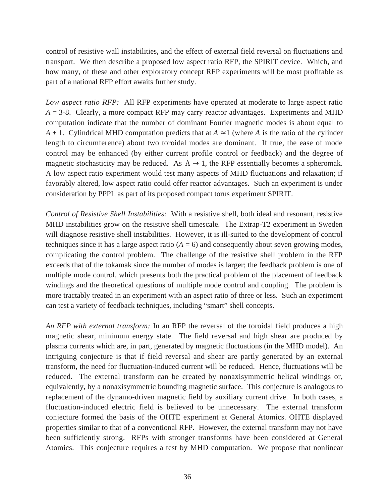control of resistive wall instabilities, and the effect of external field reversal on fluctuations and transport. We then describe a proposed low aspect ratio RFP, the SPIRIT device. Which, and how many, of these and other exploratory concept RFP experiments will be most profitable as part of a national RFP effort awaits further study.

*Low aspect ratio RFP:* All RFP experiments have operated at moderate to large aspect ratio  $A = 3-8$ . Clearly, a more compact RFP may carry reactor advantages. Experiments and MHD computation indicate that the number of dominant Fourier magnetic modes is about equal to *A* + 1. Cylindrical MHD computation predicts that at  $A \approx 1$  (where *A* is the ratio of the cylinder length to circumference) about two toroidal modes are dominant. If true, the ease of mode control may be enhanced (by either current profile control or feedback) and the degree of magnetic stochasticity may be reduced. As  $A \rightarrow 1$ , the RFP essentially becomes a spheromak. A low aspect ratio experiment would test many aspects of MHD fluctuations and relaxation; if favorably altered, low aspect ratio could offer reactor advantages. Such an experiment is under consideration by PPPL as part of its proposed compact torus experiment SPIRIT.

*Control of Resistive Shell Instabilities:* With a resistive shell, both ideal and resonant, resistive MHD instabilities grow on the resistive shell timescale. The Extrap-T2 experiment in Sweden will diagnose resistive shell instabilities. However, it is ill-suited to the development of control techniques since it has a large aspect ratio  $(A = 6)$  and consequently about seven growing modes, complicating the control problem. The challenge of the resistive shell problem in the RFP exceeds that of the tokamak since the number of modes is larger; the feedback problem is one of multiple mode control, which presents both the practical problem of the placement of feedback windings and the theoretical questions of multiple mode control and coupling. The problem is more tractably treated in an experiment with an aspect ratio of three or less. Such an experiment can test a variety of feedback techniques, including "smart" shell concepts.

*An RFP with external transform:* In an RFP the reversal of the toroidal field produces a high magnetic shear, minimum energy state. The field reversal and high shear are produced by plasma currents which are, in part, generated by magnetic fluctuations (in the MHD model). An intriguing conjecture is that if field reversal and shear are partly generated by an external transform, the need for fluctuation-induced current will be reduced. Hence, fluctuations will be reduced. The external transform can be created by nonaxisymmetric helical windings or, equivalently, by a nonaxisymmetric bounding magnetic surface. This conjecture is analogous to replacement of the dynamo-driven magnetic field by auxiliary current drive. In both cases, a fluctuation-induced electric field is believed to be unnecessary. The external transform conjecture formed the basis of the OHTE experiment at General Atomics. OHTE displayed properties similar to that of a conventional RFP. However, the external transform may not have been sufficiently strong. RFPs with stronger transforms have been considered at General Atomics. This conjecture requires a test by MHD computation. We propose that nonlinear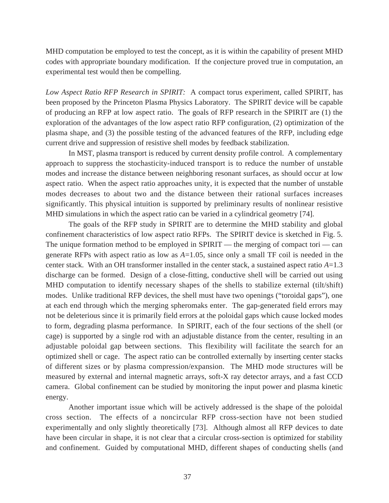MHD computation be employed to test the concept, as it is within the capability of present MHD codes with appropriate boundary modification. If the conjecture proved true in computation, an experimental test would then be compelling.

*Low Aspect Ratio RFP Research in SPIRIT:* A compact torus experiment, called SPIRIT, has been proposed by the Princeton Plasma Physics Laboratory. The SPIRIT device will be capable of producing an RFP at low aspect ratio. The goals of RFP research in the SPIRIT are (1) the exploration of the advantages of the low aspect ratio RFP configuration, (2) optimization of the plasma shape, and (3) the possible testing of the advanced features of the RFP, including edge current drive and suppression of resistive shell modes by feedback stabilization.

In MST, plasma transport is reduced by current density profile control. A complementary approach to suppress the stochasticity-induced transport is to reduce the number of unstable modes and increase the distance between neighboring resonant surfaces, as should occur at low aspect ratio. When the aspect ratio approaches unity, it is expected that the number of unstable modes decreases to about two and the distance between their rational surfaces increases significantly. This physical intuition is supported by preliminary results of nonlinear resistive MHD simulations in which the aspect ratio can be varied in a cylindrical geometry [74].

The goals of the RFP study in SPIRIT are to determine the MHD stability and global confinement characteristics of low aspect ratio RFPs. The SPIRIT device is sketched in Fig. 5. The unique formation method to be employed in  $SPIRIT$  — the merging of compact tori — can generate RFPs with aspect ratio as low as *A*=1.05, since only a small TF coil is needed in the center stack. With an OH transformer installed in the center stack, a sustained aspect ratio *A*=1.3 discharge can be formed. Design of a close-fitting, conductive shell will be carried out using MHD computation to identify necessary shapes of the shells to stabilize external (tilt/shift) modes. Unlike traditional RFP devices, the shell must have two openings ("toroidal gaps"), one at each end through which the merging spheromaks enter. The gap-generated field errors may not be deleterious since it is primarily field errors at the poloidal gaps which cause locked modes to form, degrading plasma performance. In SPIRIT, each of the four sections of the shell (or cage) is supported by a single rod with an adjustable distance from the center, resulting in an adjustable poloidal gap between sections. This flexibility will facilitate the search for an optimized shell or cage. The aspect ratio can be controlled externally by inserting center stacks of different sizes or by plasma compression/expansion. The MHD mode structures will be measured by external and internal magnetic arrays, soft-X ray detector arrays, and a fast CCD camera. Global confinement can be studied by monitoring the input power and plasma kinetic energy.

Another important issue which will be actively addressed is the shape of the poloidal cross section. The effects of a noncircular RFP cross-section have not been studied experimentally and only slightly theoretically [73]. Although almost all RFP devices to date have been circular in shape, it is not clear that a circular cross-section is optimized for stability and confinement. Guided by computational MHD, different shapes of conducting shells (and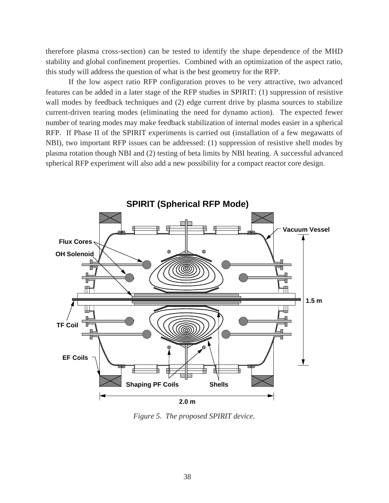therefore plasma cross-section) can be tested to identify the shape dependence of the MHD stability and global confinement properties. Combined with an optimization of the aspect ratio, this study will address the question of what is the best geometry for the RFP.

If the low aspect ratio RFP configuration proves to be very attractive, two advanced features can be added in a later stage of the RFP studies in SPIRIT: (1) suppression of resistive wall modes by feedback techniques and (2) edge current drive by plasma sources to stabilize current-driven tearing modes (eliminating the need for dynamo action). The expected fewer number of tearing modes may make feedback stabilization of internal modes easier in a spherical RFP. If Phase II of the SPIRIT experiments is carried out (installation of a few megawatts of NBI), two important RFP issues can be addressed: (1) suppression of resistive shell modes by plasma rotation though NBI and (2) testing of beta limits by NBI heating. A successful advanced spherical RFP experiment will also add a new possibility for a compact reactor core design.



*Figure 5. The proposed SPIRIT device.*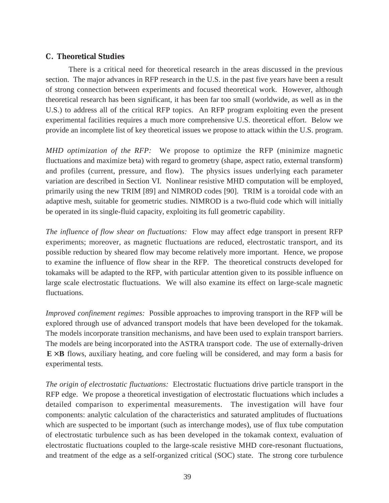#### **C. Theoretical Studies**

There is a critical need for theoretical research in the areas discussed in the previous section. The major advances in RFP research in the U.S. in the past five years have been a result of strong connection between experiments and focused theoretical work. However, although theoretical research has been significant, it has been far too small (worldwide, as well as in the U.S.) to address all of the critical RFP topics. An RFP program exploiting even the present experimental facilities requires a much more comprehensive U.S. theoretical effort. Below we provide an incomplete list of key theoretical issues we propose to attack within the U.S. program.

*MHD optimization of the RFP:* We propose to optimize the RFP (minimize magnetic fluctuations and maximize beta) with regard to geometry (shape, aspect ratio, external transform) and profiles (current, pressure, and flow). The physics issues underlying each parameter variation are described in Section VI. Nonlinear resistive MHD computation will be employed, primarily using the new TRIM [89] and NIMROD codes [90]. TRIM is a toroidal code with an adaptive mesh, suitable for geometric studies. NIMROD is a two-fluid code which will initially be operated in its single-fluid capacity, exploiting its full geometric capability.

*The influence of flow shear on fluctuations:* Flow may affect edge transport in present RFP experiments; moreover, as magnetic fluctuations are reduced, electrostatic transport, and its possible reduction by sheared flow may become relatively more important. Hence, we propose to examine the influence of flow shear in the RFP. The theoretical constructs developed for tokamaks will be adapted to the RFP, with particular attention given to its possible influence on large scale electrostatic fluctuations. We will also examine its effect on large-scale magnetic fluctuations.

*Improved confinement regimes:* Possible approaches to improving transport in the RFP will be explored through use of advanced transport models that have been developed for the tokamak. The models incorporate transition mechanisms, and have been used to explain transport barriers. The models are being incorporated into the ASTRA transport code. The use of externally-driven  $E \times B$  flows, auxiliary heating, and core fueling will be considered, and may form a basis for experimental tests.

*The origin of electrostatic fluctuations:* Electrostatic fluctuations drive particle transport in the RFP edge. We propose a theoretical investigation of electrostatic fluctuations which includes a detailed comparison to experimental measurements. The investigation will have four components: analytic calculation of the characteristics and saturated amplitudes of fluctuations which are suspected to be important (such as interchange modes), use of flux tube computation of electrostatic turbulence such as has been developed in the tokamak context, evaluation of electrostatic fluctuations coupled to the large-scale resistive MHD core-resonant fluctuations, and treatment of the edge as a self-organized critical (SOC) state. The strong core turbulence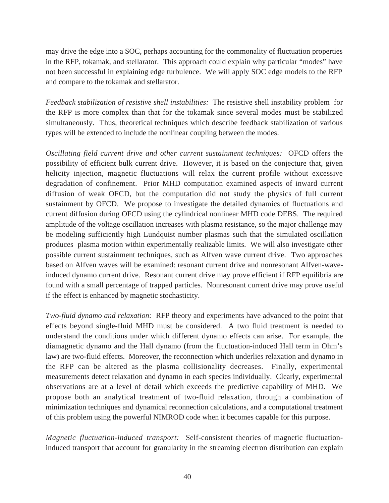may drive the edge into a SOC, perhaps accounting for the commonality of fluctuation properties in the RFP, tokamak, and stellarator. This approach could explain why particular "modes" have not been successful in explaining edge turbulence. We will apply SOC edge models to the RFP and compare to the tokamak and stellarator.

*Feedback stabilization of resistive shell instabilities:* The resistive shell instability problem for the RFP is more complex than that for the tokamak since several modes must be stabilized simultaneously. Thus, theoretical techniques which describe feedback stabilization of various types will be extended to include the nonlinear coupling between the modes.

*Oscillating field current drive and other current sustainment techniques:* OFCD offers the possibility of efficient bulk current drive. However, it is based on the conjecture that, given helicity injection, magnetic fluctuations will relax the current profile without excessive degradation of confinement. Prior MHD computation examined aspects of inward current diffusion of weak OFCD, but the computation did not study the physics of full current sustainment by OFCD. We propose to investigate the detailed dynamics of fluctuations and current diffusion during OFCD using the cylindrical nonlinear MHD code DEBS. The required amplitude of the voltage oscillation increases with plasma resistance, so the major challenge may be modeling sufficiently high Lundquist number plasmas such that the simulated oscillation produces plasma motion within experimentally realizable limits. We will also investigate other possible current sustainment techniques, such as Alfven wave current drive. Two approaches based on Alfven waves will be examined: resonant current drive and nonresonant Alfven-waveinduced dynamo current drive. Resonant current drive may prove efficient if RFP equilibria are found with a small percentage of trapped particles. Nonresonant current drive may prove useful if the effect is enhanced by magnetic stochasticity.

*Two-fluid dynamo and relaxation:* RFP theory and experiments have advanced to the point that effects beyond single-fluid MHD must be considered. A two fluid treatment is needed to understand the conditions under which different dynamo effects can arise. For example, the diamagnetic dynamo and the Hall dynamo (from the fluctuation-induced Hall term in Ohm's law) are two-fluid effects. Moreover, the reconnection which underlies relaxation and dynamo in the RFP can be altered as the plasma collisionality decreases. Finally, experimental measurements detect relaxation and dynamo in each species individually. Clearly, experimental observations are at a level of detail which exceeds the predictive capability of MHD. We propose both an analytical treatment of two-fluid relaxation, through a combination of minimization techniques and dynamical reconnection calculations, and a computational treatment of this problem using the powerful NIMROD code when it becomes capable for this purpose.

*Magnetic fluctuation-induced transport:* Self-consistent theories of magnetic fluctuationinduced transport that account for granularity in the streaming electron distribution can explain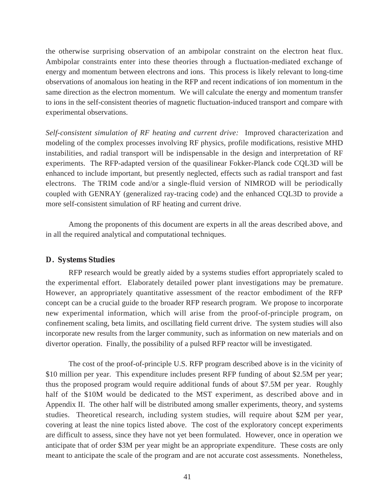the otherwise surprising observation of an ambipolar constraint on the electron heat flux. Ambipolar constraints enter into these theories through a fluctuation-mediated exchange of energy and momentum between electrons and ions. This process is likely relevant to long-time observations of anomalous ion heating in the RFP and recent indications of ion momentum in the same direction as the electron momentum. We will calculate the energy and momentum transfer to ions in the self-consistent theories of magnetic fluctuation-induced transport and compare with experimental observations.

*Self-consistent simulation of RF heating and current drive:* Improved characterization and modeling of the complex processes involving RF physics, profile modifications, resistive MHD instabilities, and radial transport will be indispensable in the design and interpretation of RF experiments. The RFP-adapted version of the quasilinear Fokker-Planck code CQL3D will be enhanced to include important, but presently neglected, effects such as radial transport and fast electrons. The TRIM code and/or a single-fluid version of NIMROD will be periodically coupled with GENRAY (generalized ray-tracing code) and the enhanced CQL3D to provide a more self-consistent simulation of RF heating and current drive.

Among the proponents of this document are experts in all the areas described above, and in all the required analytical and computational techniques.

#### **D. Systems Studies**

RFP research would be greatly aided by a systems studies effort appropriately scaled to the experimental effort. Elaborately detailed power plant investigations may be premature. However, an appropriately quantitative assessment of the reactor embodiment of the RFP concept can be a crucial guide to the broader RFP research program. We propose to incorporate new experimental information, which will arise from the proof-of-principle program, on confinement scaling, beta limits, and oscillating field current drive. The system studies will also incorporate new results from the larger community, such as information on new materials and on divertor operation. Finally, the possibility of a pulsed RFP reactor will be investigated.

The cost of the proof-of-principle U.S. RFP program described above is in the vicinity of \$10 million per year. This expenditure includes present RFP funding of about \$2.5M per year; thus the proposed program would require additional funds of about \$7.5M per year. Roughly half of the \$10M would be dedicated to the MST experiment, as described above and in Appendix II. The other half will be distributed among smaller experiments, theory, and systems studies. Theoretical research, including system studies, will require about \$2M per year, covering at least the nine topics listed above. The cost of the exploratory concept experiments are difficult to assess, since they have not yet been formulated. However, once in operation we anticipate that of order \$3M per year might be an appropriate expenditure. These costs are only meant to anticipate the scale of the program and are not accurate cost assessments. Nonetheless,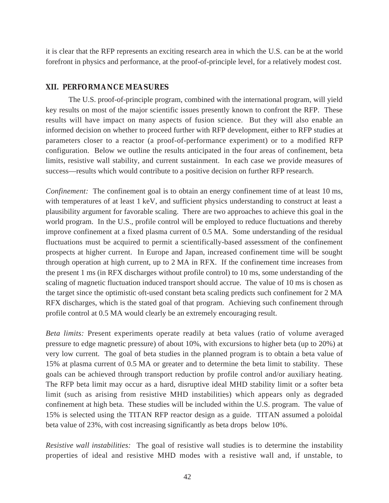it is clear that the RFP represents an exciting research area in which the U.S. can be at the world forefront in physics and performance, at the proof-of-principle level, for a relatively modest cost.

#### **XII. PERFORMANCE MEASURES**

The U.S. proof-of-principle program, combined with the international program, will yield key results on most of the major scientific issues presently known to confront the RFP. These results will have impact on many aspects of fusion science. But they will also enable an informed decision on whether to proceed further with RFP development, either to RFP studies at parameters closer to a reactor (a proof-of-performance experiment) or to a modified RFP configuration. Below we outline the results anticipated in the four areas of confinement, beta limits, resistive wall stability, and current sustainment. In each case we provide measures of success—results which would contribute to a positive decision on further RFP research.

*Confinement:* The confinement goal is to obtain an energy confinement time of at least 10 ms, with temperatures of at least 1 keV, and sufficient physics understanding to construct at least a plausibility argument for favorable scaling. There are two approaches to achieve this goal in the world program. In the U.S., profile control will be employed to reduce fluctuations and thereby improve confinement at a fixed plasma current of 0.5 MA. Some understanding of the residual fluctuations must be acquired to permit a scientifically-based assessment of the confinement prospects at higher current. In Europe and Japan, increased confinement time will be sought through operation at high current, up to 2 MA in RFX. If the confinement time increases from the present 1 ms (in RFX discharges without profile control) to 10 ms, some understanding of the scaling of magnetic fluctuation induced transport should accrue. The value of 10 ms is chosen as the target since the optimistic oft-used constant beta scaling predicts such confinement for 2 MA RFX discharges, which is the stated goal of that program. Achieving such confinement through profile control at 0.5 MA would clearly be an extremely encouraging result.

*Beta limits:* Present experiments operate readily at beta values (ratio of volume averaged pressure to edge magnetic pressure) of about 10%, with excursions to higher beta (up to 20%) at very low current. The goal of beta studies in the planned program is to obtain a beta value of 15% at plasma current of 0.5 MA or greater and to determine the beta limit to stability. These goals can be achieved through transport reduction by profile control and/or auxiliary heating. The RFP beta limit may occur as a hard, disruptive ideal MHD stability limit or a softer beta limit (such as arising from resistive MHD instabilities) which appears only as degraded confinement at high beta. These studies will be included within the U.S. program. The value of 15% is selected using the TITAN RFP reactor design as a guide. TITAN assumed a poloidal beta value of 23%, with cost increasing significantly as beta drops below 10%.

*Resistive wall instabilities:* The goal of resistive wall studies is to determine the instability properties of ideal and resistive MHD modes with a resistive wall and, if unstable, to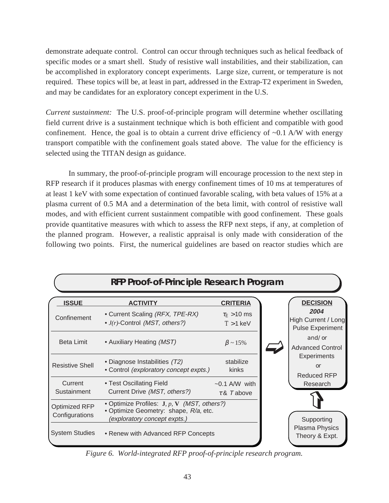demonstrate adequate control. Control can occur through techniques such as helical feedback of specific modes or a smart shell. Study of resistive wall instabilities, and their stabilization, can be accomplished in exploratory concept experiments. Large size, current, or temperature is not required. These topics will be, at least in part, addressed in the Extrap-T2 experiment in Sweden, and may be candidates for an exploratory concept experiment in the U.S.

*Current sustainment:* The U.S. proof-of-principle program will determine whether oscillating field current drive is a sustainment technique which is both efficient and compatible with good confinement. Hence, the goal is to obtain a current drive efficiency of  $\sim 0.1$  A/W with energy transport compatible with the confinement goals stated above. The value for the efficiency is selected using the TITAN design as guidance.

In summary, the proof-of-principle program will encourage procession to the next step in RFP research if it produces plasmas with energy confinement times of 10 ms at temperatures of at least 1 keV with some expectation of continued favorable scaling, with beta values of 15% at a plasma current of 0.5 MA and a determination of the beta limit, with control of resistive wall modes, and with efficient current sustainment compatible with good confinement. These goals provide quantitative measures with which to assess the RFP next steps, if any, at completion of the planned program. However, a realistic appraisal is only made with consideration of the following two points. First, the numerical guidelines are based on reactor studies which are

|                                 | RFP Proof-of-Principle Research Program                                                                                |                                                    |                                                                           |
|---------------------------------|------------------------------------------------------------------------------------------------------------------------|----------------------------------------------------|---------------------------------------------------------------------------|
| <b>ISSUE</b><br>Confinement     | <b>ACTIVITY</b><br>• Current Scaling (RFX, TPE-RX)<br>• J(r)-Control (MST, others?)                                    | <b>CRITERIA</b><br>$\tau_E$ > 10 ms<br>$T > 1$ keV | <b>DECISION</b><br>2004<br>High Current / Long<br><b>Pulse Experiment</b> |
| <b>Beta Limit</b>               | • Auxiliary Heating (MST)                                                                                              | $\beta \sim 15\%$                                  | and/or<br><b>Advanced Control</b>                                         |
| <b>Resistive Shell</b>          | • Diagnose Instabilities (T2)<br>• Control (exploratory concept expts.)                                                | stabilize<br>kinks                                 | <b>Experiments</b><br>or<br><b>Reduced RFP</b>                            |
| Current<br>Sustainment          | • Test Oscillating Field<br>Current Drive (MST, others?)                                                               | $~1$ A/W with<br>$\tau$ & T above                  | Research                                                                  |
| Optimized RFP<br>Configurations | • Optimize Profiles: $J, p, V$ (MST, others?)<br>· Optimize Geometry: shape, R/a, etc.<br>(exploratory concept expts.) |                                                    | Supporting                                                                |
| <b>System Studies</b>           | • Renew with Advanced RFP Concepts                                                                                     |                                                    | Plasma Physics<br>Theory & Expt.                                          |

*Figure 6. World-integrated RFP proof-of-principle research program.*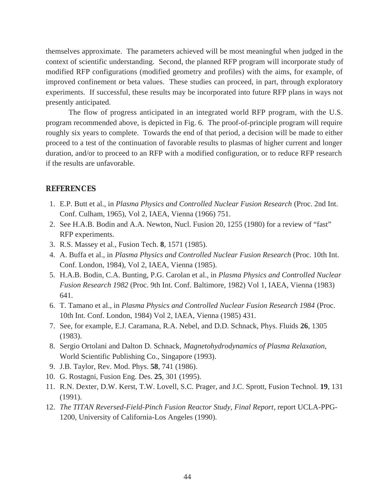themselves approximate. The parameters achieved will be most meaningful when judged in the context of scientific understanding. Second, the planned RFP program will incorporate study of modified RFP configurations (modified geometry and profiles) with the aims, for example, of improved confinement or beta values. These studies can proceed, in part, through exploratory experiments. If successful, these results may be incorporated into future RFP plans in ways not presently anticipated.

The flow of progress anticipated in an integrated world RFP program, with the U.S. program recommended above, is depicted in Fig. 6. The proof-of-principle program will require roughly six years to complete. Towards the end of that period, a decision will be made to either proceed to a test of the continuation of favorable results to plasmas of higher current and longer duration, and/or to proceed to an RFP with a modified configuration, or to reduce RFP research if the results are unfavorable.

#### **REFERENCES**

- 1. E.P. Butt et al., in *Plasma Physics and Controlled Nuclear Fusion Research* (Proc. 2nd Int. Conf. Culham, 1965), Vol 2, IAEA, Vienna (1966) 751.
- 2. See H.A.B. Bodin and A.A. Newton, Nucl. Fusion 20, 1255 (1980) for a review of "fast" RFP experiments.
- 3. R.S. Massey et al., Fusion Tech. **8**, 1571 (1985).
- 4. A. Buffa et al., in *Plasma Physics and Controlled Nuclear Fusion Research* (Proc. 10th Int. Conf. London, 1984), Vol 2, IAEA, Vienna (1985).
- 5. H.A.B. Bodin, C.A. Bunting, P.G. Carolan et al., in *Plasma Physics and Controlled Nuclear Fusion Research 1982* (Proc. 9th Int. Conf. Baltimore, 1982) Vol 1, IAEA, Vienna (1983) 641.
- 6. T. Tamano et al., in *Plasma Physics and Controlled Nuclear Fusion Research 1984* (Proc. 10th Int. Conf. London, 1984) Vol 2, IAEA, Vienna (1985) 431.
- 7. See, for example, E.J. Caramana, R.A. Nebel, and D.D. Schnack, Phys. Fluids **26**, 1305 (1983).
- 8. Sergio Ortolani and Dalton D. Schnack, *Magnetohydrodynamics of Plasma Relaxation*, World Scientific Publishing Co., Singapore (1993).
- 9. J.B. Taylor, Rev. Mod. Phys. **58**, 741 (1986).
- 10. G. Rostagni, Fusion Eng. Des. **25**, 301 (1995).
- 11. R.N. Dexter, D.W. Kerst, T.W. Lovell, S.C. Prager, and J.C. Sprott, Fusion Technol. **19**, 131 (1991).
- 12. *The TITAN Reversed-Field-Pinch Fusion Reactor Study, Final Report*, report UCLA-PPG-1200, University of California-Los Angeles (1990).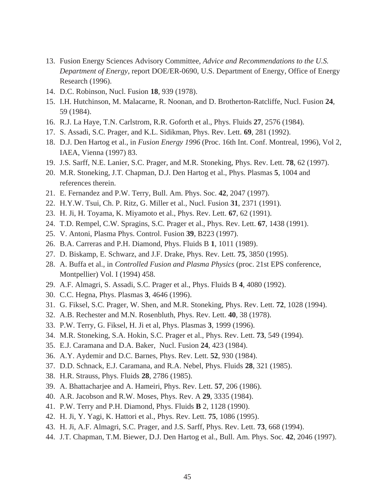- 13. Fusion Energy Sciences Advisory Committee, *Advice and Recommendations to the U.S. Department of Energy*, report DOE/ER-0690, U.S. Department of Energy, Office of Energy Research (1996).
- 14. D.C. Robinson, Nucl. Fusion **18**, 939 (1978).
- 15. I.H. Hutchinson, M. Malacarne, R. Noonan, and D. Brotherton-Ratcliffe, Nucl. Fusion **24**, 59 (1984).
- 16. R.J. La Haye, T.N. Carlstrom, R.R. Goforth et al., Phys. Fluids **27**, 2576 (1984).
- 17. S. Assadi, S.C. Prager, and K.L. Sidikman, Phys. Rev. Lett. **69**, 281 (1992).
- 18. D.J. Den Hartog et al., in *Fusion Energy 1996* (Proc. 16th Int. Conf. Montreal, 1996), Vol 2, IAEA, Vienna (1997) 83.
- 19. J.S. Sarff, N.E. Lanier, S.C. Prager, and M.R. Stoneking, Phys. Rev. Lett. **78**, 62 (1997).
- 20. M.R. Stoneking, J.T. Chapman, D.J. Den Hartog et al., Phys. Plasmas **5**, 1004 and references therein.
- 21. E. Fernandez and P.W. Terry, Bull. Am. Phys. Soc. **42**, 2047 (1997).
- 22. H.Y.W. Tsui, Ch. P. Ritz, G. Miller et al., Nucl. Fusion **31**, 2371 (1991).
- 23. H. Ji, H. Toyama, K. Miyamoto et al., Phys. Rev. Lett. **67**, 62 (1991).
- 24. T.D. Rempel, C.W. Spragins, S.C. Prager et al., Phys. Rev. Lett. **67**, 1438 (1991).
- 25. V. Antoni, Plasma Phys. Control. Fusion **39**, B223 (1997).
- 26. B.A. Carreras and P.H. Diamond, Phys. Fluids B **1**, 1011 (1989).
- 27. D. Biskamp, E. Schwarz, and J.F. Drake, Phys. Rev. Lett. **75**, 3850 (1995).
- 28. A. Buffa et al., in *Controlled Fusion and Plasma Physics* (proc. 21st EPS conference, Montpellier) Vol. I (1994) 458.
- 29. A.F. Almagri, S. Assadi, S.C. Prager et al., Phys. Fluids B **4**, 4080 (1992).
- 30. C.C. Hegna, Phys. Plasmas **3**, 4646 (1996).
- 31. G. Fiksel, S.C. Prager, W. Shen, and M.R. Stoneking, Phys. Rev. Lett. **72**, 1028 (1994).
- 32. A.B. Rechester and M.N. Rosenbluth, Phys. Rev. Lett. **40**, 38 (1978).
- 33. P.W. Terry, G. Fiksel, H. Ji et al, Phys. Plasmas **3**, 1999 (1996).
- 34. M.R. Stoneking, S.A. Hokin, S.C. Prager et al., Phys. Rev. Lett. **73**, 549 (1994).
- 35. E.J. Caramana and D.A. Baker, Nucl. Fusion **24**, 423 (1984).
- 36. A.Y. Aydemir and D.C. Barnes, Phys. Rev. Lett. **52**, 930 (1984).
- 37. D.D. Schnack, E.J. Caramana, and R.A. Nebel, Phys. Fluids **28**, 321 (1985).
- 38. H.R. Strauss, Phys. Fluids **28**, 2786 (1985).
- 39. A. Bhattacharjee and A. Hameiri, Phys. Rev. Lett. **57**, 206 (1986).
- 40. A.R. Jacobson and R.W. Moses, Phys. Rev. A **29**, 3335 (1984).
- 41. P.W. Terry and P.H. Diamond, Phys. Fluids **B** 2, 1128 (1990).
- 42. H. Ji, Y. Yagi, K. Hattori et al., Phys. Rev. Lett. **75**, 1086 (1995).
- 43. H. Ji, A.F. Almagri, S.C. Prager, and J.S. Sarff, Phys. Rev. Lett. **73**, 668 (1994).
- 44. J.T. Chapman, T.M. Biewer, D.J. Den Hartog et al., Bull. Am. Phys. Soc. **42**, 2046 (1997).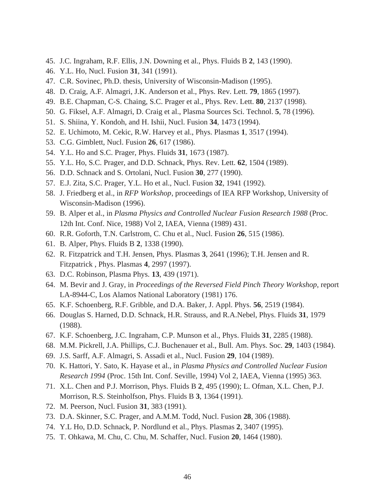- 45. J.C. Ingraham, R.F. Ellis, J.N. Downing et al., Phys. Fluids B **2**, 143 (1990).
- 46. Y.L. Ho, Nucl. Fusion **31**, 341 (1991).
- 47. C.R. Sovinec, Ph.D. thesis, University of Wisconsin-Madison (1995).
- 48. D. Craig, A.F. Almagri, J.K. Anderson et al., Phys. Rev. Lett. **79**, 1865 (1997).
- 49. B.E. Chapman, C-S. Chaing, S.C. Prager et al., Phys. Rev. Lett. **80**, 2137 (1998).
- 50. G. Fiksel, A.F. Almagri, D. Craig et al., Plasma Sources Sci. Technol. **5**, 78 (1996).
- 51. S. Shiina, Y. Kondoh, and H. Ishii, Nucl. Fusion **34**, 1473 (1994).
- 52. E. Uchimoto, M. Cekic, R.W. Harvey et al., Phys. Plasmas **1**, 3517 (1994).
- 53. C.G. Gimblett, Nucl. Fusion **26**, 617 (1986).
- 54. Y.L. Ho and S.C. Prager, Phys. Fluids **31**, 1673 (1987).
- 55. Y.L. Ho, S.C. Prager, and D.D. Schnack, Phys. Rev. Lett. **62**, 1504 (1989).
- 56. D.D. Schnack and S. Ortolani, Nucl. Fusion **30**, 277 (1990).
- 57. E.J. Zita, S.C. Prager, Y.L. Ho et al., Nucl. Fusion **32**, 1941 (1992).
- 58. J. Friedberg et al., in *RFP Workshop*, proceedings of IEA RFP Workshop, University of Wisconsin-Madison (1996).
- 59. B. Alper et al., in *Plasma Physics and Controlled Nuclear Fusion Research 1988* (Proc. 12th Int. Conf. Nice, 1988) Vol 2, IAEA, Vienna (1989) 431.
- 60. R.R. Goforth, T.N. Carlstrom, C. Chu et al., Nucl. Fusion **26**, 515 (1986).
- 61. B. Alper, Phys. Fluids B **2**, 1338 (1990).
- 62. R. Fitzpatrick and T.H. Jensen, Phys. Plasmas **3**, 2641 (1996); T.H. Jensen and R. Fitzpatrick , Phys. Plasmas **4**, 2997 (1997).
- 63. D.C. Robinson, Plasma Phys. **13**, 439 (1971).
- 64. M. Bevir and J. Gray, in *Proceedings of the Reversed Field Pinch Theory Workshop*, report LA-8944-C, Los Alamos National Laboratory (1981) 176.
- 65. K.F. Schoenberg, R.F. Gribble, and D.A. Baker, J. Appl. Phys. **56**, 2519 (1984).
- 66. Douglas S. Harned, D.D. Schnack, H.R. Strauss, and R.A.Nebel, Phys. Fluids **31**, 1979 (1988).
- 67. K.F. Schoenberg, J.C. Ingraham, C.P. Munson et al., Phys. Fluids **31**, 2285 (1988).
- 68. M.M. Pickrell, J.A. Phillips, C.J. Buchenauer et al., Bull. Am. Phys. Soc. **29**, 1403 (1984).
- 69. J.S. Sarff, A.F. Almagri, S. Assadi et al., Nucl. Fusion **29**, 104 (1989).
- 70. K. Hattori, Y. Sato, K. Hayase et al., in *Plasma Physics and Controlled Nuclear Fusion Research 1994* (Proc. 15th Int. Conf. Seville, 1994) Vol 2, IAEA, Vienna (1995) 363.
- 71. X.L. Chen and P.J. Morrison, Phys. Fluids B **2**, 495 (1990); L. Ofman, X.L. Chen, P.J. Morrison, R.S. Steinholfson, Phys. Fluids B **3**, 1364 (1991).
- 72. M. Peerson, Nucl. Fusion **31**, 383 (1991).
- 73. D.A. Skinner, S.C. Prager, and A.M.M. Todd, Nucl. Fusion **28**, 306 (1988).
- 74. Y.L Ho, D.D. Schnack, P. Nordlund et al., Phys. Plasmas **2**, 3407 (1995).
- 75. T. Ohkawa, M. Chu, C. Chu, M. Schaffer, Nucl. Fusion **20**, 1464 (1980).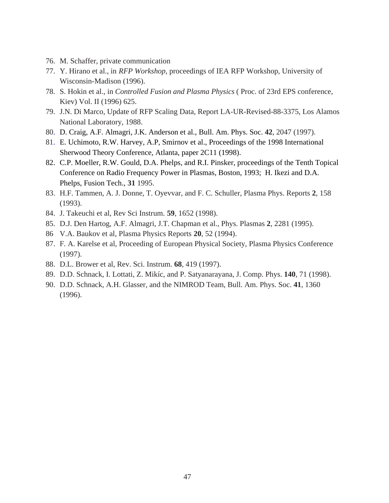- 76. M. Schaffer, private communication
- 77. Y. Hirano et al., in *RFP Workshop*, proceedings of IEA RFP Workshop, University of Wisconsin-Madison (1996).
- 78. S. Hokin et al., in *Controlled Fusion and Plasma Physics* ( Proc. of 23rd EPS conference, Kiev) Vol. II (1996) 625.
- 79. J.N. Di Marco, Update of RFP Scaling Data, Report LA-UR-Revised-88-3375, Los Alamos National Laboratory, 1988.
- 80. D. Craig, A.F. Almagri, J.K. Anderson et al., Bull. Am. Phys. Soc. **42**, 2047 (1997).
- 81. E. Uchimoto, R.W. Harvey, A.P, Smirnov et al., Proceedings of the 1998 International Sherwood Theory Conference, Atlanta, paper 2C11 (1998).
- 82. C.P. Moeller, R.W. Gould, D.A. Phelps, and R.I. Pinsker, proceedings of the Tenth Topical Conference on Radio Frequency Power in Plasmas, Boston, 1993; H. Ikezi and D.A. Phelps, Fusion Tech., **31** 1995.
- 83. H.F. Tammen, A. J. Donne, T. Oyevvar, and F. C. Schuller, Plasma Phys. Reports **2**, 158 (1993).
- 84. J. Takeuchi et al, Rev Sci Instrum. **59**, 1652 (1998).
- 85. D.J. Den Hartog, A.F. Almagri, J.T. Chapman et al., Phys. Plasmas **2**, 2281 (1995).
- 86 V.A. Baukov et al, Plasma Physics Reports **20**, 52 (1994).
- 87. F. A. Karelse et al, Proceeding of European Physical Society, Plasma Physics Conference (1997).
- 88. D.L. Brower et al, Rev. Sci. Instrum. **68**, 419 (1997).
- 89. D.D. Schnack, I. Lottati, Z. Mikíc, and P. Satyanarayana, J. Comp. Phys. **140**, 71 (1998).
- 90. D.D. Schnack, A.H. Glasser, and the NIMROD Team, Bull. Am. Phys. Soc. **41**, 1360 (1996).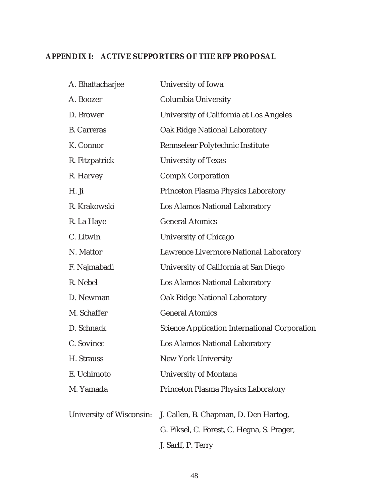### **APPENDIX I: ACTIVE SUPPORTERS OF THE RFP PROPOSAL**

| University of Iowa                                   |
|------------------------------------------------------|
| Columbia University                                  |
| University of California at Los Angeles              |
| <b>Oak Ridge National Laboratory</b>                 |
| Rennselear Polytechnic Institute                     |
| <b>University of Texas</b>                           |
| <b>CompX Corporation</b>                             |
| <b>Princeton Plasma Physics Laboratory</b>           |
| <b>Los Alamos National Laboratory</b>                |
| <b>General Atomics</b>                               |
| University of Chicago                                |
| <b>Lawrence Livermore National Laboratory</b>        |
| University of California at San Diego                |
| Los Alamos National Laboratory                       |
| <b>Oak Ridge National Laboratory</b>                 |
| <b>General Atomics</b>                               |
| <b>Science Application International Corporation</b> |
| Los Alamos National Laboratory                       |
| New York University                                  |
| <b>University of Montana</b>                         |
| <b>Princeton Plasma Physics Laboratory</b>           |
| J. Callen, B. Chapman, D. Den Hartog,                |
| G. Fiksel, C. Forest, C. Hegna, S. Prager,           |
| J. Sarff, P. Terry                                   |
| University of Wisconsin:                             |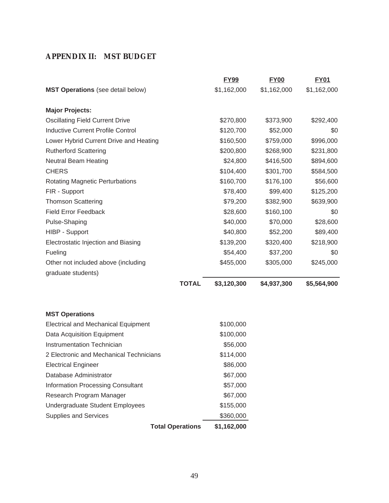### **APPENDIX II: MST BUDGET**

|                                            | <b>FY99</b> | <b>FY00</b> | <b>FY01</b> |
|--------------------------------------------|-------------|-------------|-------------|
| <b>MST Operations</b> (see detail below)   | \$1,162,000 | \$1,162,000 | \$1,162,000 |
| <b>Major Projects:</b>                     |             |             |             |
| <b>Oscillating Field Current Drive</b>     | \$270,800   | \$373,900   | \$292,400   |
| <b>Inductive Current Profile Control</b>   | \$120,700   | \$52,000    | \$0         |
| Lower Hybrid Current Drive and Heating     | \$160,500   | \$759,000   | \$996,000   |
| <b>Rutherford Scattering</b>               | \$200,800   | \$268,900   | \$231,800   |
| <b>Neutral Beam Heating</b>                | \$24,800    | \$416,500   | \$894,600   |
| <b>CHERS</b>                               | \$104,400   | \$301,700   | \$584,500   |
| <b>Rotating Magnetic Perturbations</b>     | \$160,700   | \$176,100   | \$56,600    |
| FIR - Support                              | \$78,400    | \$99,400    | \$125,200   |
| <b>Thomson Scattering</b>                  | \$79,200    | \$382,900   | \$639,900   |
| <b>Field Error Feedback</b>                | \$28,600    | \$160,100   | \$0         |
| Pulse-Shaping                              | \$40,000    | \$70,000    | \$28,600    |
| HIBP - Support                             | \$40,800    | \$52,200    | \$89,400    |
| Electrostatic Injection and Biasing        | \$139,200   | \$320,400   | \$218,900   |
| Fueling                                    | \$54,400    | \$37,200    | \$0         |
| Other not included above (including        | \$455,000   | \$305,000   | \$245,000   |
| graduate students)                         |             |             |             |
| <b>TOTAL</b>                               | \$3,120,300 | \$4,937,300 | \$5,564,900 |
| <b>MST Operations</b>                      |             |             |             |
| <b>Electrical and Mechanical Equipment</b> | \$100,000   |             |             |
| Data Acquisition Equipment                 | \$100,000   |             |             |
| Instrumentation Technician                 | \$56,000    |             |             |
| 2 Electronic and Mechanical Technicians    | \$114,000   |             |             |
| <b>Electrical Engineer</b>                 | \$86,000    |             |             |
| Database Administrator                     | \$67,000    |             |             |
| <b>Information Processing Consultant</b>   | \$57,000    |             |             |
| Research Program Manager                   | \$67,000    |             |             |
| <b>Undergraduate Student Employees</b>     | \$155,000   |             |             |
| <b>Supplies and Services</b>               | \$360,000   |             |             |
| <b>Total Operations</b>                    | \$1,162,000 |             |             |